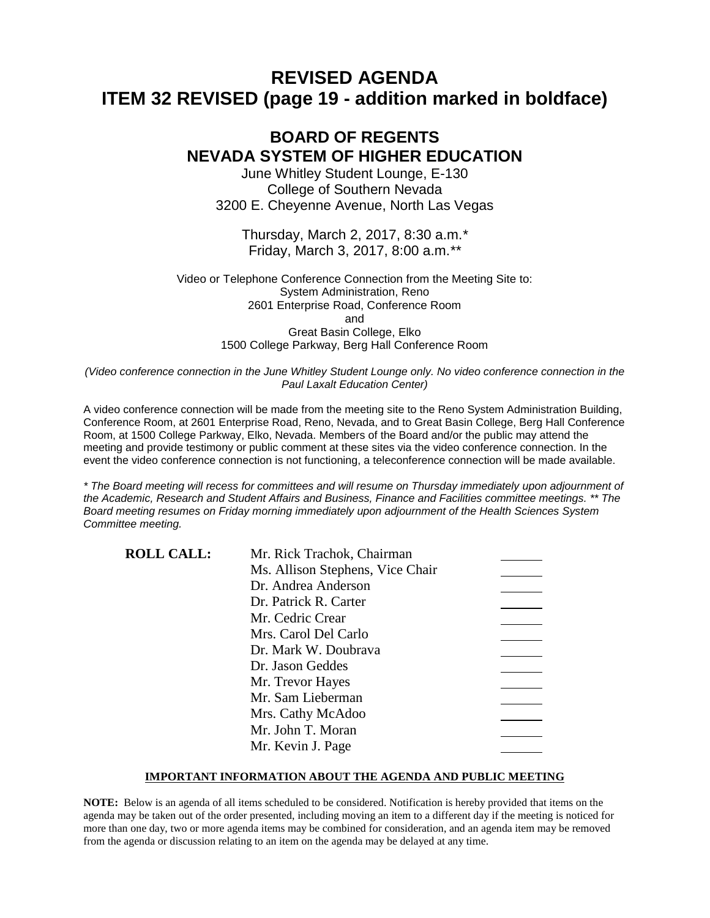# **REVISED AGENDA ITEM 32 REVISED (page 19 - addition marked in boldface)**

# **BOARD OF REGENTS NEVADA SYSTEM OF HIGHER EDUCATION**

June Whitley Student Lounge, E-130 College of Southern Nevada 3200 E. Cheyenne Avenue, North Las Vegas

Thursday, March 2, 2017, 8:30 a.m.*\** Friday, March 3, 2017, 8:00 a.m.*\*\**

Video or Telephone Conference Connection from the Meeting Site to: System Administration, Reno 2601 Enterprise Road, Conference Room and Great Basin College, Elko 1500 College Parkway, Berg Hall Conference Room

*(Video conference connection in the June Whitley Student Lounge only. No video conference connection in the Paul Laxalt Education Center)*

A video conference connection will be made from the meeting site to the Reno System Administration Building, Conference Room, at 2601 Enterprise Road, Reno, Nevada, and to Great Basin College, Berg Hall Conference Room, at 1500 College Parkway, Elko, Nevada. Members of the Board and/or the public may attend the meeting and provide testimony or public comment at these sites via the video conference connection. In the event the video conference connection is not functioning, a teleconference connection will be made available.

*\* The Board meeting will recess for committees and will resume on Thursday immediately upon adjournment of the Academic, Research and Student Affairs and Business, Finance and Facilities committee meetings. \*\* The Board meeting resumes on Friday morning immediately upon adjournment of the Health Sciences System Committee meeting.*

| <b>ROLL CALL:</b> | Mr. Rick Trachok, Chairman       |  |
|-------------------|----------------------------------|--|
|                   | Ms. Allison Stephens, Vice Chair |  |
|                   | Dr. Andrea Anderson              |  |
|                   | Dr. Patrick R. Carter            |  |
|                   | Mr. Cedric Crear                 |  |
|                   | Mrs. Carol Del Carlo             |  |
|                   | Dr. Mark W. Doubrava             |  |
|                   | Dr. Jason Geddes                 |  |
|                   | Mr. Trevor Hayes                 |  |
|                   | Mr. Sam Lieberman                |  |
|                   | Mrs. Cathy McAdoo                |  |
|                   | Mr. John T. Moran                |  |
|                   | Mr. Kevin J. Page                |  |
|                   |                                  |  |

### **IMPORTANT INFORMATION ABOUT THE AGENDA AND PUBLIC MEETING**

**NOTE:** Below is an agenda of all items scheduled to be considered. Notification is hereby provided that items on the agenda may be taken out of the order presented, including moving an item to a different day if the meeting is noticed for more than one day, two or more agenda items may be combined for consideration, and an agenda item may be removed from the agenda or discussion relating to an item on the agenda may be delayed at any time.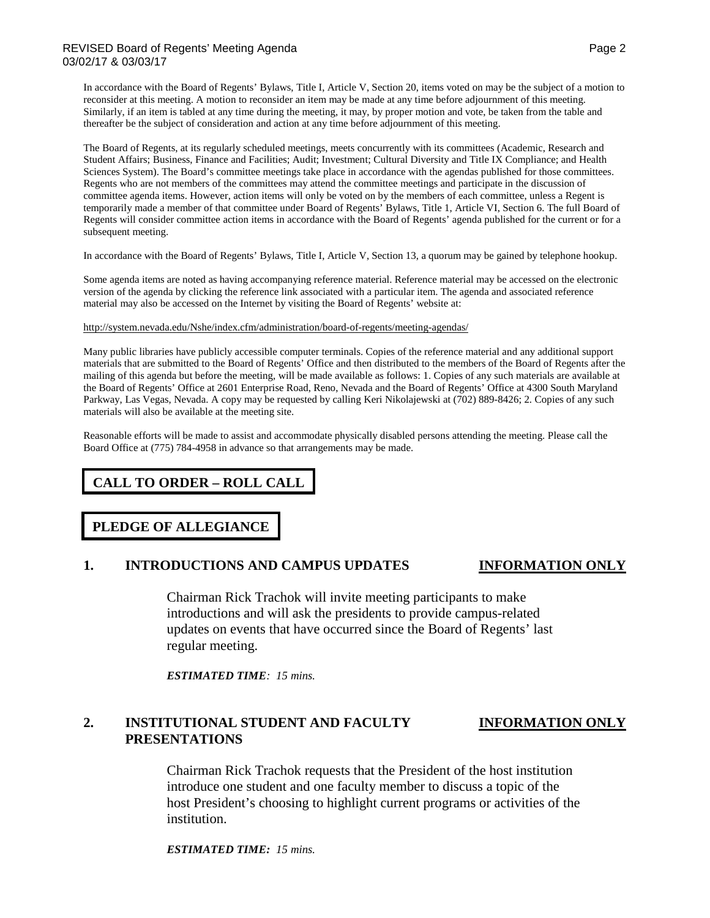In accordance with the Board of Regents' Bylaws, Title I, Article V, Section 20, items voted on may be the subject of a motion to reconsider at this meeting. A motion to reconsider an item may be made at any time before adjournment of this meeting. Similarly, if an item is tabled at any time during the meeting, it may, by proper motion and vote, be taken from the table and thereafter be the subject of consideration and action at any time before adjournment of this meeting.

The Board of Regents, at its regularly scheduled meetings, meets concurrently with its committees (Academic, Research and Student Affairs; Business, Finance and Facilities; Audit; Investment; Cultural Diversity and Title IX Compliance; and Health Sciences System). The Board's committee meetings take place in accordance with the agendas published for those committees. Regents who are not members of the committees may attend the committee meetings and participate in the discussion of committee agenda items. However, action items will only be voted on by the members of each committee, unless a Regent is temporarily made a member of that committee under Board of Regents' Bylaws, Title 1, Article VI, Section 6. The full Board of Regents will consider committee action items in accordance with the Board of Regents' agenda published for the current or for a subsequent meeting.

In accordance with the Board of Regents' Bylaws, Title I, Article V, Section 13, a quorum may be gained by telephone hookup.

Some agenda items are noted as having accompanying reference material. Reference material may be accessed on the electronic version of the agenda by clicking the reference link associated with a particular item. The agenda and associated reference material may also be accessed on the Internet by visiting the Board of Regents' website at:

### <http://system.nevada.edu/Nshe/index.cfm/administration/board-of-regents/meeting-agendas/>

Many public libraries have publicly accessible computer terminals. Copies of the reference material and any additional support materials that are submitted to the Board of Regents' Office and then distributed to the members of the Board of Regents after the mailing of this agenda but before the meeting, will be made available as follows: 1. Copies of any such materials are available at the Board of Regents' Office at 2601 Enterprise Road, Reno, Nevada and the Board of Regents' Office at 4300 South Maryland Parkway, Las Vegas, Nevada. A copy may be requested by calling Keri Nikolajewski at (702) 889-8426; 2. Copies of any such materials will also be available at the meeting site.

Reasonable efforts will be made to assist and accommodate physically disabled persons attending the meeting. Please call the Board Office at (775) 784-4958 in advance so that arrangements may be made.

## **CALL TO ORDER – ROLL CALL**

**PLEDGE OF ALLEGIANCE**

### **1. INTRODUCTIONS AND CAMPUS UPDATES INFORMATION ONLY**

Chairman Rick Trachok will invite meeting participants to make introductions and will ask the presidents to provide campus-related updates on events that have occurred since the Board of Regents' last regular meeting.

*ESTIMATED TIME: 15 mins.*

### **2. INSTITUTIONAL STUDENT AND FACULTY INFORMATION ONLY PRESENTATIONS**

Chairman Rick Trachok requests that the President of the host institution introduce one student and one faculty member to discuss a topic of the host President's choosing to highlight current programs or activities of the institution.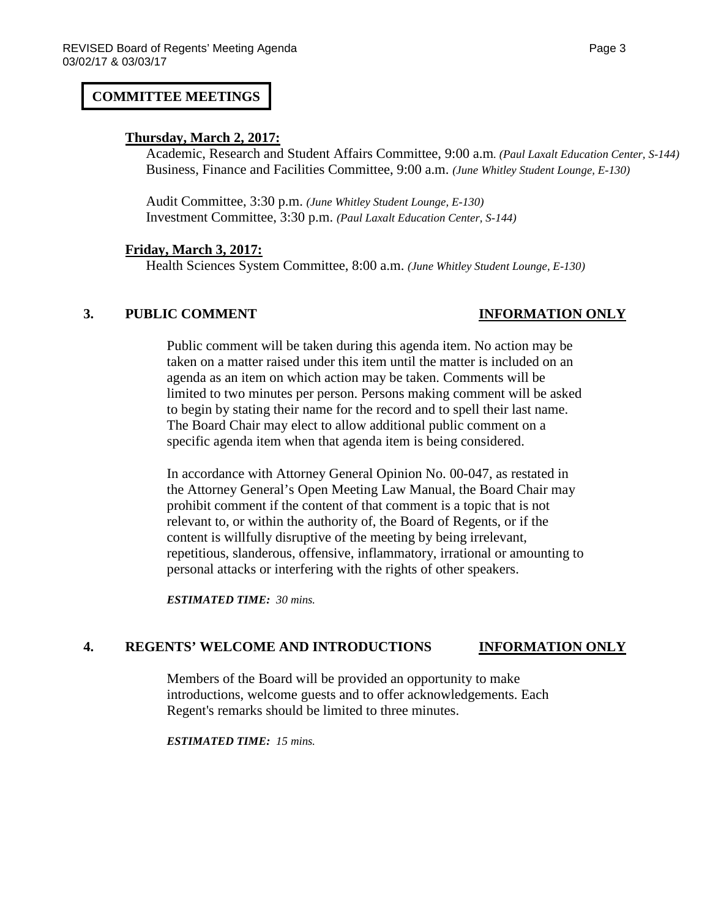### **COMMITTEE MEETINGS**

### **Thursday, March 2, 2017:**

Academic, Research and Student Affairs Committee, 9:00 a.m*. (Paul Laxalt Education Center, S-144)* Business, Finance and Facilities Committee, 9:00 a.m. *(June Whitley Student Lounge, E-130)*

Audit Committee, 3:30 p.m. *(June Whitley Student Lounge, E-130)* Investment Committee, 3:30 p.m. *(Paul Laxalt Education Center, S-144)*

### **Friday, March 3, 2017:**

Health Sciences System Committee, 8:00 a.m. *(June Whitley Student Lounge, E-130)*

### **3. PUBLIC COMMENT INFORMATION ONLY**

Public comment will be taken during this agenda item. No action may be taken on a matter raised under this item until the matter is included on an agenda as an item on which action may be taken. Comments will be limited to two minutes per person. Persons making comment will be asked to begin by stating their name for the record and to spell their last name. The Board Chair may elect to allow additional public comment on a specific agenda item when that agenda item is being considered.

In accordance with Attorney General Opinion No. 00-047, as restated in the Attorney General's Open Meeting Law Manual, the Board Chair may prohibit comment if the content of that comment is a topic that is not relevant to, or within the authority of, the Board of Regents, or if the content is willfully disruptive of the meeting by being irrelevant, repetitious, slanderous, offensive, inflammatory, irrational or amounting to personal attacks or interfering with the rights of other speakers.

*ESTIMATED TIME: 30 mins.*

## **4. REGENTS' WELCOME AND INTRODUCTIONS INFORMATION ONLY**

Members of the Board will be provided an opportunity to make introductions, welcome guests and to offer acknowledgements. Each Regent's remarks should be limited to three minutes.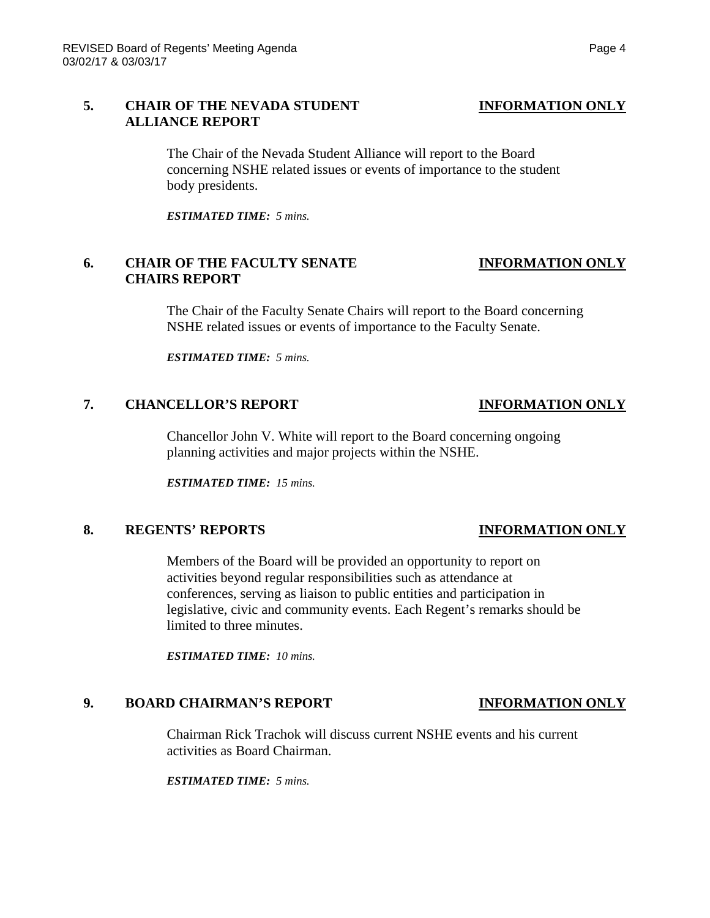### **5. CHAIR OF THE NEVADA STUDENT INFORMATION ONLY ALLIANCE REPORT**

The Chair of the Nevada Student Alliance will report to the Board concerning NSHE related issues or events of importance to the student body presidents.

*ESTIMATED TIME: 5 mins.*

### **6. CHAIR OF THE FACULTY SENATE INFORMATION ONLY CHAIRS REPORT**

The Chair of the Faculty Senate Chairs will report to the Board concerning NSHE related issues or events of importance to the Faculty Senate.

*ESTIMATED TIME: 5 mins.*

### **7. CHANCELLOR'S REPORT INFORMATION ONLY**

Chancellor John V. White will report to the Board concerning ongoing planning activities and major projects within the NSHE.

*ESTIMATED TIME: 15 mins.*

### **8. REGENTS' REPORTS INFORMATION ONLY**

Members of the Board will be provided an opportunity to report on activities beyond regular responsibilities such as attendance at conferences, serving as liaison to public entities and participation in legislative, civic and community events. Each Regent's remarks should be limited to three minutes.

*ESTIMATED TIME: 10 mins.*

### **9. BOARD CHAIRMAN'S REPORT INFORMATION ONLY**

Chairman Rick Trachok will discuss current NSHE events and his current activities as Board Chairman.

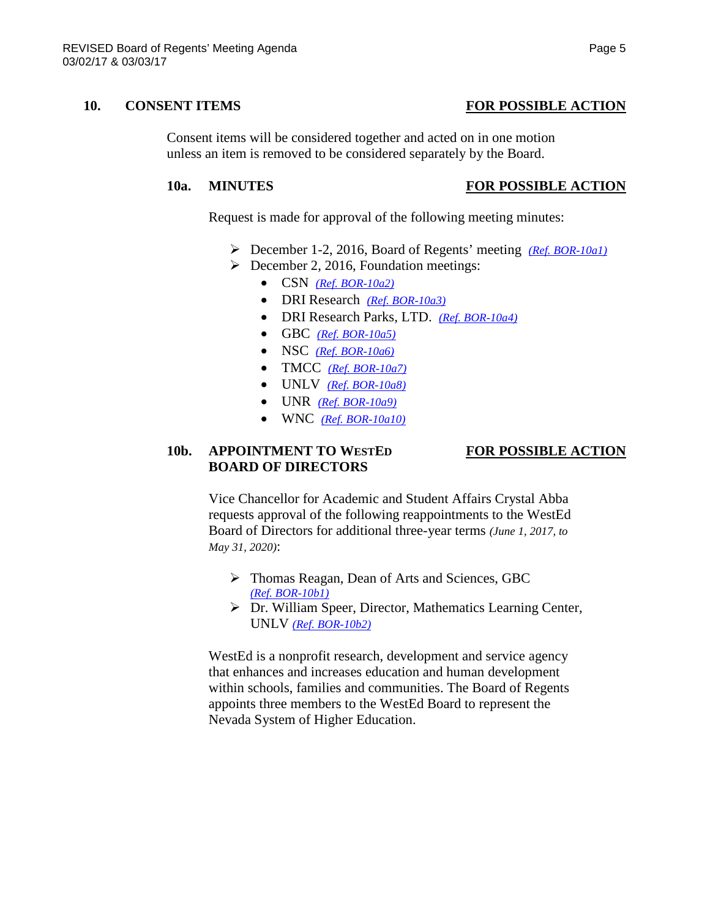### **10. CONSENT ITEMS FOR POSSIBLE ACTION**

Consent items will be considered together and acted on in one motion unless an item is removed to be considered separately by the Board.

### **10a. MINUTES FOR POSSIBLE ACTION**

Request is made for approval of the following meeting minutes:

- December 1-2, 2016, Board of Regents' meeting *[\(Ref. BOR-10a1\)](http://system.nevada.edu/tasks/sites/Nshe/assets/File/BoardOfRegents/Agendas/2017/mar-mtgs/bor-refs/BOR-10a1.pdf)*
- $\triangleright$  December 2, 2016, Foundation meetings:
	- CSN *[\(Ref. BOR-10a2\)](http://system.nevada.edu/tasks/sites/Nshe/assets/File/BoardOfRegents/Agendas/2017/mar-mtgs/bor-refs/BOR-10a2.pdf)*
	- DRI Research *[\(Ref. BOR-10a3\)](http://system.nevada.edu/tasks/sites/Nshe/assets/File/BoardOfRegents/Agendas/2017/mar-mtgs/bor-refs/BOR-10a3.pdf)*
	- DRI Research Parks, LTD. *[\(Ref. BOR-10a4\)](http://system.nevada.edu/tasks/sites/Nshe/assets/File/BoardOfRegents/Agendas/2017/mar-mtgs/bor-refs/BOR-10a4.pdf)*
	- GBC *[\(Ref. BOR-10a5\)](http://system.nevada.edu/tasks/sites/Nshe/assets/File/BoardOfRegents/Agendas/2017/mar-mtgs/bor-refs/BOR-10a5.pdf)*
	- NSC *[\(Ref. BOR-10a6\)](http://system.nevada.edu/tasks/sites/Nshe/assets/File/BoardOfRegents/Agendas/2017/mar-mtgs/bor-refs/BOR-10a6.pdf)*
	- TMCC *[\(Ref. BOR-10a7\)](http://system.nevada.edu/tasks/sites/Nshe/assets/File/BoardOfRegents/Agendas/2017/mar-mtgs/bor-refs/BOR-10a7.pdf)*
	- UNLV *[\(Ref. BOR-10a8\)](http://system.nevada.edu/tasks/sites/Nshe/assets/File/BoardOfRegents/Agendas/2017/mar-mtgs/bor-refs/BOR-10a8.pdf)*
	- UNR *[\(Ref. BOR-10a9\)](http://system.nevada.edu/tasks/sites/Nshe/assets/File/BoardOfRegents/Agendas/2017/mar-mtgs/bor-refs/BOR-10a9.pdf)*
	- WNC *[\(Ref. BOR-10a10\)](http://system.nevada.edu/tasks/sites/Nshe/assets/File/BoardOfRegents/Agendas/2017/mar-mtgs/bor-refs/BOR-10a10.pdf)*

## **10b. APPOINTMENT TO WESTED FOR POSSIBLE ACTION BOARD OF DIRECTORS**

Vice Chancellor for Academic and Student Affairs Crystal Abba requests approval of the following reappointments to the WestEd Board of Directors for additional three-year terms *(June 1, 2017, to May 31, 2020)*:

- Thomas Reagan, Dean of Arts and Sciences, GBC *[\(Ref. BOR-10b1\)](http://system.nevada.edu/tasks/sites/Nshe/assets/File/BoardOfRegents/Agendas/2017/mar-mtgs/bor-refs/BOR-10b1.pdf)*
- Dr. William Speer, Director, Mathematics Learning Center, UNLV *[\(Ref. BOR-10b2\)](http://system.nevada.edu/tasks/sites/Nshe/assets/File/BoardOfRegents/Agendas/2017/mar-mtgs/bor-refs/BOR-10b2.pdf)*

WestEd is a nonprofit research, development and service agency that enhances and increases education and human development within schools, families and communities. The Board of Regents appoints three members to the WestEd Board to represent the Nevada System of Higher Education.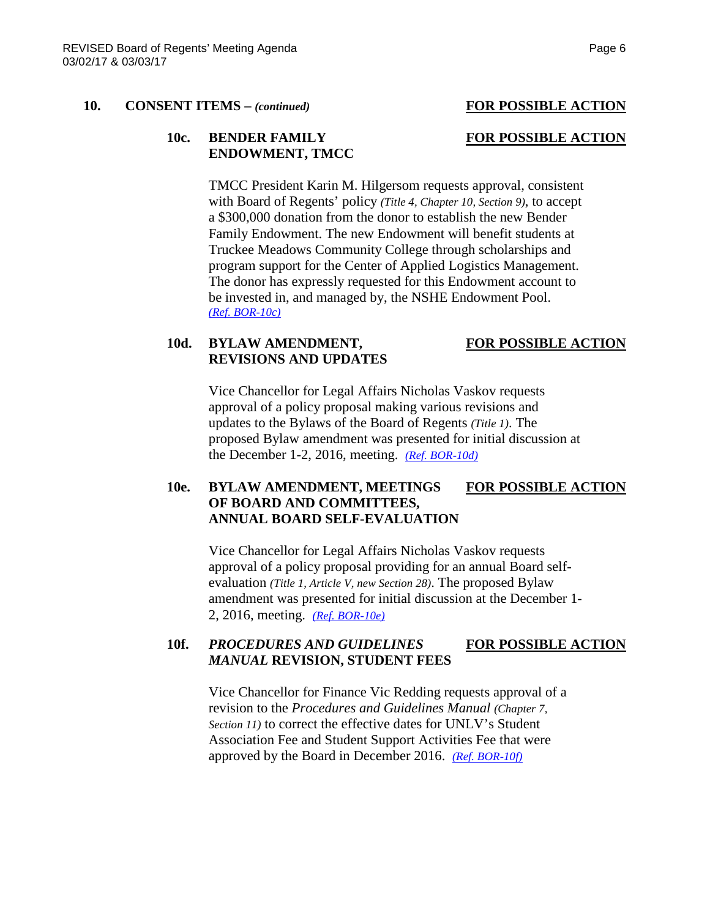### **10. CONSENT ITEMS –** *(continued)* **FOR POSSIBLE ACTION**

### **10c. BENDER FAMILY FOR POSSIBLE ACTION ENDOWMENT, TMCC**

TMCC President Karin M. Hilgersom requests approval, consistent with Board of Regents' policy *(Title 4, Chapter 10, Section 9)*, to accept a \$300,000 donation from the donor to establish the new Bender Family Endowment. The new Endowment will benefit students at Truckee Meadows Community College through scholarships and program support for the Center of Applied Logistics Management. The donor has expressly requested for this Endowment account to be invested in, and managed by, the NSHE Endowment Pool. *[\(Ref. BOR-10c\)](http://system.nevada.edu/tasks/sites/Nshe/assets/File/BoardOfRegents/Agendas/2017/mar-mtgs/bor-refs/BOR-10c.pdf)*

### 10d. BYLAW AMENDMENT, FOR POSSIBLE ACTION **REVISIONS AND UPDATES**

Vice Chancellor for Legal Affairs Nicholas Vaskov requests approval of a policy proposal making various revisions and updates to the Bylaws of the Board of Regents *(Title 1)*. The proposed Bylaw amendment was presented for initial discussion at the December 1-2, 2016, meeting. *[\(Ref. BOR-10d\)](http://system.nevada.edu/tasks/sites/Nshe/assets/File/BoardOfRegents/Agendas/2017/mar-mtgs/bor-refs/BOR-10d.pdf)*

### **10e. BYLAW AMENDMENT, MEETINGS FOR POSSIBLE ACTION OF BOARD AND COMMITTEES, ANNUAL BOARD SELF-EVALUATION**

Vice Chancellor for Legal Affairs Nicholas Vaskov requests approval of a policy proposal providing for an annual Board selfevaluation *(Title 1, Article V, new Section 28)*. The proposed Bylaw amendment was presented for initial discussion at the December 1- 2, 2016, meeting. *[\(Ref. BOR-10e\)](http://system.nevada.edu/tasks/sites/Nshe/assets/File/BoardOfRegents/Agendas/2017/mar-mtgs/bor-refs/BOR-10e.pdf)*

### **10f.** *PROCEDURES AND GUIDELINES* **FOR POSSIBLE ACTION** *MANUAL* **REVISION, STUDENT FEES**

Vice Chancellor for Finance Vic Redding requests approval of a revision to the *Procedures and Guidelines Manual (Chapter 7, Section 11)* to correct the effective dates for UNLV's Student Association Fee and Student Support Activities Fee that were approved by the Board in December 2016. *[\(Ref. BOR-10f\)](http://system.nevada.edu/tasks/sites/Nshe/assets/File/BoardOfRegents/Agendas/2017/mar-mtgs/bor-refs/BOR-10f.pdf)*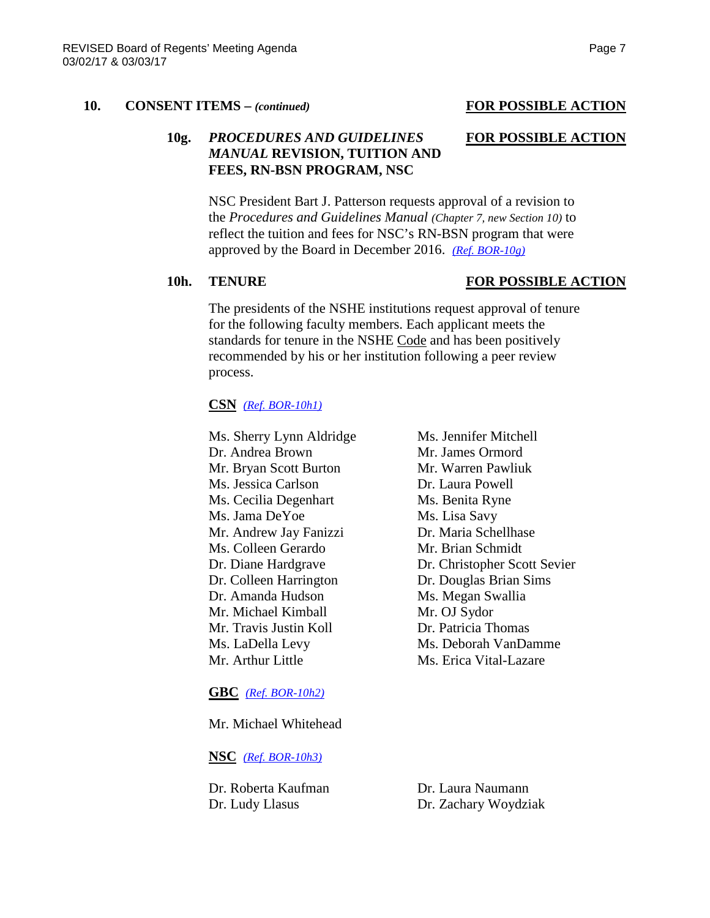### **10. CONSENT ITEMS –** *(continued)* **FOR POSSIBLE ACTION**

### **10g.** *PROCEDURES AND GUIDELINES* **FOR POSSIBLE ACTION** *MANUAL* **REVISION, TUITION AND FEES, RN-BSN PROGRAM, NSC**

NSC President Bart J. Patterson requests approval of a revision to the *Procedures and Guidelines Manual (Chapter 7, new Section 10)* to reflect the tuition and fees for NSC's RN-BSN program that were approved by the Board in December 2016. *[\(Ref. BOR-10g\)](http://system.nevada.edu/tasks/sites/Nshe/assets/File/BoardOfRegents/Agendas/2017/mar-mtgs/bor-refs/BOR-10g.pdf)*

### **10h. TENURE FOR POSSIBLE ACTION**

The presidents of the NSHE institutions request approval of tenure for the following faculty members. Each applicant meets the standards for tenure in the NSHE Code and has been positively recommended by his or her institution following a peer review process.

### **CSN** *[\(Ref. BOR-10h1\)](http://system.nevada.edu/tasks/sites/Nshe/assets/File/BoardOfRegents/Agendas/2017/mar-mtgs/bor-refs/BOR-10h1.pdf)*

Ms. Sherry Lynn Aldridge Ms. Jennifer Mitchell Dr. Andrea Brown Mr. James Ormord Mr. Bryan Scott Burton Mr. Warren Pawliuk Ms. Jessica Carlson Dr. Laura Powell Ms. Cecilia Degenhart Ms. Benita Ryne Ms. Jama DeYoe Ms. Lisa Savy Mr. Andrew Jay Fanizzi Dr. Maria Schellhase Ms. Colleen Gerardo Mr. Brian Schmidt Dr. Colleen Harrington Dr. Douglas Brian Sims Dr. Amanda Hudson Ms. Megan Swallia Mr. Michael Kimball Mr. OJ Sydor Mr. Travis Justin Koll Dr. Patricia Thomas Ms. LaDella Levy Ms. Deborah VanDamme Mr. Arthur Little Ms. Erica Vital-Lazare

**GBC** *[\(Ref. BOR-10h2\)](http://system.nevada.edu/tasks/sites/Nshe/assets/File/BoardOfRegents/Agendas/2017/mar-mtgs/bor-refs/BOR-10h2.pdf)*

Mr. Michael Whitehead

**NSC** *[\(Ref. BOR-10h3\)](http://system.nevada.edu/tasks/sites/Nshe/assets/File/BoardOfRegents/Agendas/2017/mar-mtgs/bor-refs/BOR-10h3.pdf)*

Dr. Roberta Kaufman Dr. Laura Naumann

Dr. Diane Hardgrave Dr. Christopher Scott Sevier

Dr. Ludy Llasus Dr. Zachary Woydziak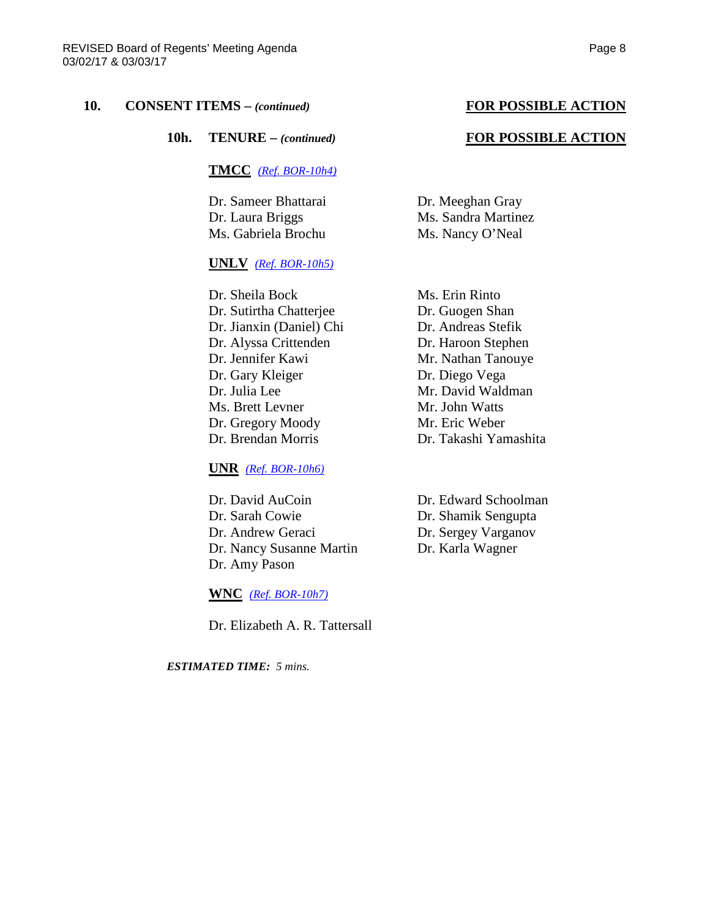### **10. CONSENT ITEMS –** *(continued)* **FOR POSSIBLE ACTION**

**10h. TENURE –** *(continued)* **FOR POSSIBLE ACTION**

**TMCC** *[\(Ref. BOR-10h4\)](http://system.nevada.edu/tasks/sites/Nshe/assets/File/BoardOfRegents/Agendas/2017/mar-mtgs/bor-refs/BOR-10h4.pdf)*

Dr. Sameer Bhattarai Dr. Meeghan Gray Ms. Gabriela Brochu Ms. Nancy O'Neal

### **UNLV** *[\(Ref. BOR-10h5\)](http://system.nevada.edu/tasks/sites/Nshe/assets/File/BoardOfRegents/Agendas/2017/mar-mtgs/bor-refs/BOR-10h5.pdf)*

Dr. Sheila Bock Ms. Erin Rinto Dr. Sutirtha Chatterjee Dr. Guogen Shan Dr. Jianxin (Daniel) Chi Dr. Andreas Stefik Dr. Alyssa Crittenden Dr. Haroon Stephen Dr. Jennifer Kawi Mr. Nathan Tanouye Dr. Gary Kleiger Dr. Diego Vega Dr. Julia Lee Mr. David Waldman Ms. Brett Levner Mr. John Watts<br>Dr. Gregory Moody Mr. Eric Weber Dr. Gregory Moody Dr. Brendan Morris Dr. Takashi Yamashita

**UNR** *[\(Ref. BOR-10h6\)](http://system.nevada.edu/tasks/sites/Nshe/assets/File/BoardOfRegents/Agendas/2017/mar-mtgs/bor-refs/BOR-10h6.pdf)*

Dr. David AuCoin Dr. Edward Schoolman Dr. Sarah Cowie Dr. Shamik Sengupta Dr. Andrew Geraci Dr. Sergey Varganov Dr. Nancy Susanne Martin Dr. Karla Wagner Dr. Amy Pason

**WNC** *[\(Ref. BOR-10h7\)](http://system.nevada.edu/tasks/sites/Nshe/assets/File/BoardOfRegents/Agendas/2017/mar-mtgs/bor-refs/BOR-10h7.pdf)*

Dr. Elizabeth A. R. Tattersall

*ESTIMATED TIME: 5 mins.*

Dr. Laura Briggs Ms. Sandra Martinez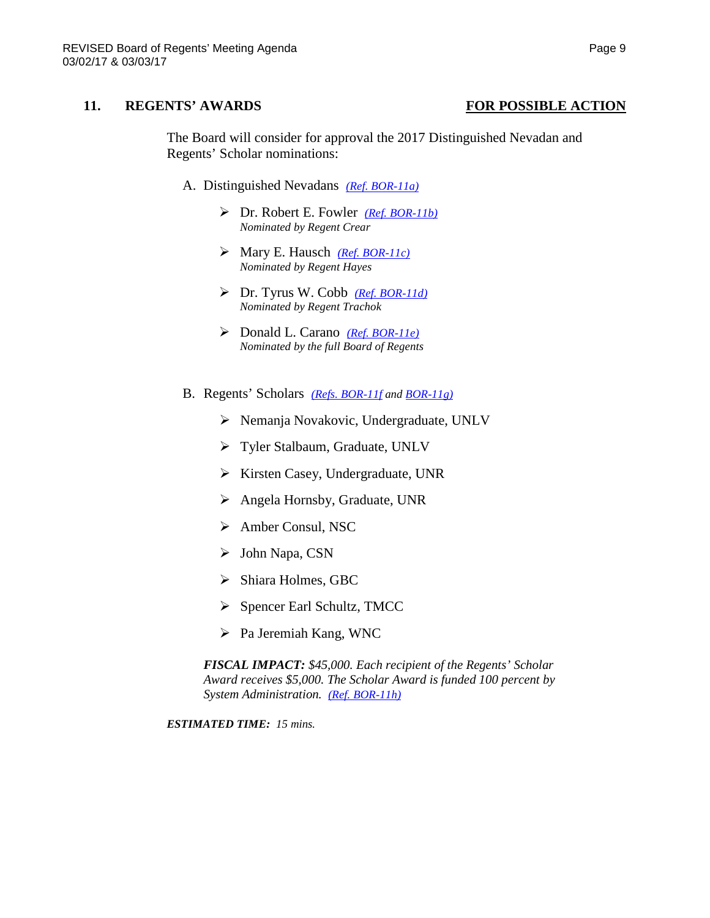### **11. REGENTS' AWARDS FOR POSSIBLE ACTION**

The Board will consider for approval the 2017 Distinguished Nevadan and Regents' Scholar nominations:

- A. Distinguished Nevadans *(Ref. [BOR-11a\)](http://system.nevada.edu/tasks/sites/Nshe/assets/File/BoardOfRegents/Agendas/2017/mar-mtgs/bor-refs/BOR-11a.pdf)*
	- Dr. Robert E. Fowler *[\(Ref. BOR-11b\)](http://system.nevada.edu/tasks/sites/Nshe/assets/File/BoardOfRegents/Agendas/2017/mar-mtgs/bor-refs/BOR-11b.pdf) Nominated by Regent Crear*
	- Mary E. Hausch *[\(Ref. BOR-11c\)](http://system.nevada.edu/tasks/sites/Nshe/assets/File/BoardOfRegents/Agendas/2017/mar-mtgs/bor-refs/BOR-11c.pdf) Nominated by Regent Hayes*
	- Dr. Tyrus W. Cobb *[\(Ref. BOR-11d\)](http://system.nevada.edu/tasks/sites/Nshe/assets/File/BoardOfRegents/Agendas/2017/mar-mtgs/bor-refs/BOR-11d.pdf) Nominated by Regent Trachok*
	- Donald L. Carano *[\(Ref. BOR-11e\)](http://system.nevada.edu/tasks/sites/Nshe/assets/File/BoardOfRegents/Agendas/2017/mar-mtgs/bor-refs/BOR-11e.pdf) Nominated by the full Board of Regents*
- B. Regents' Scholars *[\(Refs. BOR-11f](http://system.nevada.edu/tasks/sites/Nshe/assets/File/BoardOfRegents/Agendas/2017/mar-mtgs/bor-refs/BOR-11f.pdf) an[d BOR-11g\)](http://system.nevada.edu/tasks/sites/Nshe/assets/File/BoardOfRegents/Agendas/2017/mar-mtgs/bor-refs/BOR-11g.pdf)*
	- Nemanja Novakovic, Undergraduate, UNLV
	- Tyler Stalbaum, Graduate, UNLV
	- $\triangleright$  Kirsten Casey, Undergraduate, UNR
	- Angela Hornsby, Graduate, UNR
	- Amber Consul, NSC
	- > John Napa, CSN
	- $\triangleright$  Shiara Holmes, GBC
	- ▶ Spencer Earl Schultz, TMCC
	- $\triangleright$  Pa Jeremiah Kang, WNC

*FISCAL IMPACT: \$45,000. Each recipient of the Regents' Scholar Award receives \$5,000. The Scholar Award is funded 100 percent by System Administration. [\(Ref. BOR-11h\)](http://system.nevada.edu/tasks/sites/Nshe/assets/File/BoardOfRegents/Agendas/2017/mar-mtgs/bor-refs/BOR-11h.pdf)*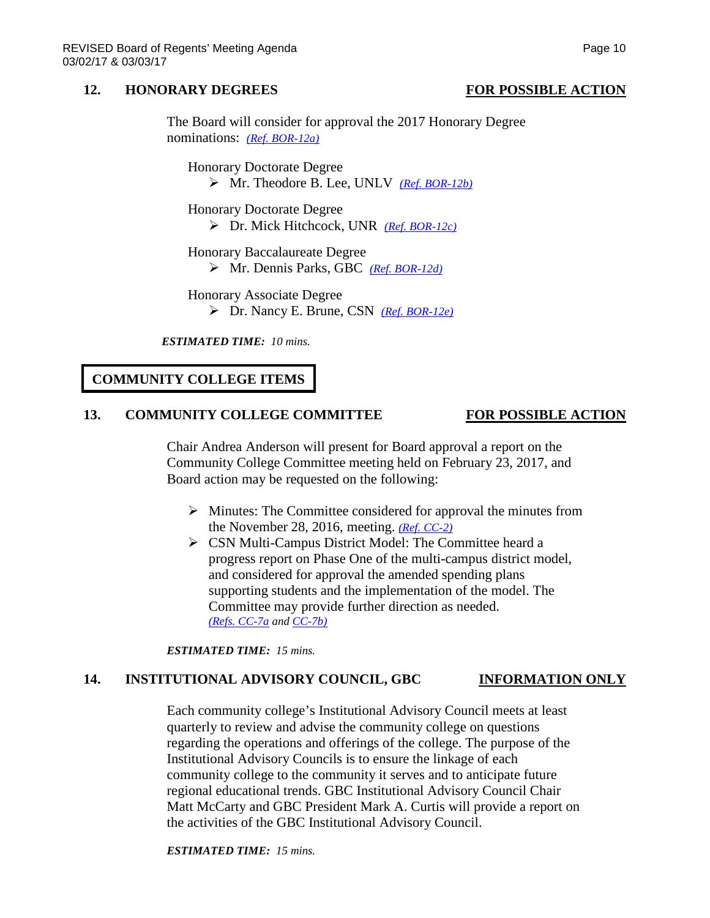### **12. HONORARY DEGREES FOR POSSIBLE ACTION**

The Board will consider for approval the 2017 Honorary Degree nominations: *[\(Ref. BOR-12a\)](http://system.nevada.edu/tasks/sites/Nshe/assets/File/BoardOfRegents/Agendas/2017/mar-mtgs/bor-refs/BOR-12a.pdf)*

Honorary Doctorate Degree Mr. Theodore B. Lee, UNLV *[\(Ref. BOR-12b\)](http://system.nevada.edu/tasks/sites/Nshe/assets/File/BoardOfRegents/Agendas/2017/mar-mtgs/bor-refs/BOR-12b.pdf)*

Honorary Doctorate Degree

Dr. Mick Hitchcock, UNR *[\(Ref. BOR-12c\)](http://system.nevada.edu/tasks/sites/Nshe/assets/File/BoardOfRegents/Agendas/2017/mar-mtgs/bor-refs/BOR-12c.pdf)*

Honorary Baccalaureate Degree Mr. Dennis Parks, GBC *[\(Ref. BOR-12d\)](http://system.nevada.edu/tasks/sites/Nshe/assets/File/BoardOfRegents/Agendas/2017/mar-mtgs/bor-refs/BOR-12d.pdf)*

Honorary Associate Degree

Dr. Nancy E. Brune, CSN *[\(Ref. BOR-12e\)](http://system.nevada.edu/tasks/sites/Nshe/assets/File/BoardOfRegents/Agendas/2017/mar-mtgs/bor-refs/BOR-12e.pdf)*

*ESTIMATED TIME: 10 mins.*

**COMMUNITY COLLEGE ITEMS**

### **13. COMMUNITY COLLEGE COMMITTEE FOR POSSIBLE ACTION**

Chair Andrea Anderson will present for Board approval a report on the Community College Committee meeting held on February 23, 2017, and Board action may be requested on the following:

- $\triangleright$  Minutes: The Committee considered for approval the minutes from the November 28, 2016, meeting. *[\(Ref. CC-2\)](http://system.nevada.edu/tasks/sites/Nshe/assets/File/BoardOfRegents/Agendas/2017/feb-mtgs/cc-refs/CC-2.pdf)*
- CSN Multi-Campus District Model: The Committee heard a progress report on Phase One of the multi-campus district model, and considered for approval the amended spending plans supporting students and the implementation of the model. The Committee may provide further direction as needed. *[\(Refs. CC-7a](http://system.nevada.edu/tasks/sites/Nshe/assets/File/BoardOfRegents/Agendas/2017/feb-mtgs/cc-refs/CC-7a.pdf) and [CC-7b\)](http://system.nevada.edu/tasks/sites/Nshe/assets/File/BoardOfRegents/Agendas/2017/feb-mtgs/cc-refs/CC-7b.pdf)*

*ESTIMATED TIME: 15 mins.*

### **14. INSTITUTIONAL ADVISORY COUNCIL, GBC INFORMATION ONLY**

Each community college's Institutional Advisory Council meets at least quarterly to review and advise the community college on questions regarding the operations and offerings of the college. The purpose of the Institutional Advisory Councils is to ensure the linkage of each community college to the community it serves and to anticipate future regional educational trends. GBC Institutional Advisory Council Chair Matt McCarty and GBC President Mark A. Curtis will provide a report on the activities of the GBC Institutional Advisory Council.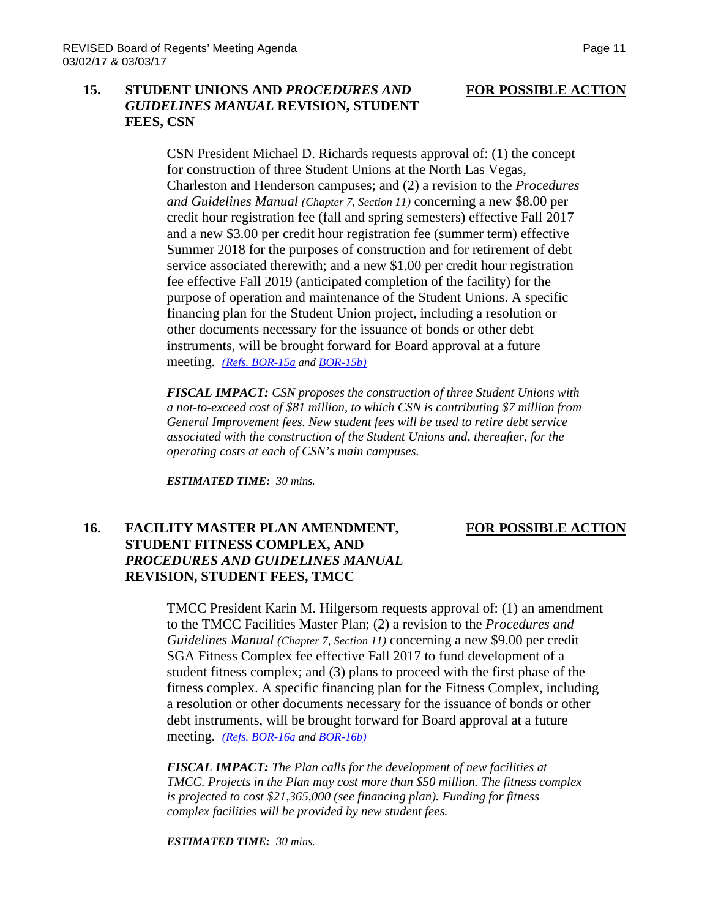## **15. STUDENT UNIONS AND** *PROCEDURES AND* **FOR POSSIBLE ACTION** *GUIDELINES MANUAL* **REVISION, STUDENT FEES, CSN**

CSN President Michael D. Richards requests approval of: (1) the concept for construction of three Student Unions at the North Las Vegas, Charleston and Henderson campuses; and (2) a revision to the *Procedures and Guidelines Manual (Chapter 7, Section 11)* concerning a new \$8.00 per credit hour registration fee (fall and spring semesters) effective Fall 2017 and a new \$3.00 per credit hour registration fee (summer term) effective Summer 2018 for the purposes of construction and for retirement of debt service associated therewith; and a new \$1.00 per credit hour registration fee effective Fall 2019 (anticipated completion of the facility) for the purpose of operation and maintenance of the Student Unions. A specific financing plan for the Student Union project, including a resolution or other documents necessary for the issuance of bonds or other debt instruments, will be brought forward for Board approval at a future meeting. *[\(Refs. BOR-15a](http://system.nevada.edu/tasks/sites/Nshe/assets/File/BoardOfRegents/Agendas/2017/mar-mtgs/bor-refs/BOR-15a.pdf) and [BOR-15b\)](http://system.nevada.edu/tasks/sites/Nshe/assets/File/BoardOfRegents/Agendas/2017/mar-mtgs/bor-refs/BOR-15b.pdf)*

*FISCAL IMPACT: CSN proposes the construction of three Student Unions with a not-to-exceed cost of \$81 million, to which CSN is contributing \$7 million from General Improvement fees. New student fees will be used to retire debt service associated with the construction of the Student Unions and, thereafter, for the operating costs at each of CSN's main campuses.*

*ESTIMATED TIME: 30 mins.*

### **16. FACILITY MASTER PLAN AMENDMENT, FOR POSSIBLE ACTION STUDENT FITNESS COMPLEX, AND** *PROCEDURES AND GUIDELINES MANUAL* **REVISION, STUDENT FEES, TMCC**

TMCC President Karin M. Hilgersom requests approval of: (1) an amendment to the TMCC Facilities Master Plan; (2) a revision to the *Procedures and Guidelines Manual (Chapter 7, Section 11)* concerning a new \$9.00 per credit SGA Fitness Complex fee effective Fall 2017 to fund development of a student fitness complex; and (3) plans to proceed with the first phase of the fitness complex. A specific financing plan for the Fitness Complex, including a resolution or other documents necessary for the issuance of bonds or other debt instruments, will be brought forward for Board approval at a future meeting. *[\(Refs. BOR-16a](http://system.nevada.edu/tasks/sites/Nshe/assets/File/BoardOfRegents/Agendas/2017/mar-mtgs/bor-refs/BOR-16a.pdf) and [BOR-16b\)](http://system.nevada.edu/tasks/sites/Nshe/assets/File/BoardOfRegents/Agendas/2017/mar-mtgs/bor-refs/BOR-16b.pdf)*

*FISCAL IMPACT: The Plan calls for the development of new facilities at TMCC. Projects in the Plan may cost more than \$50 million. The fitness complex is projected to cost \$21,365,000 (see financing plan). Funding for fitness complex facilities will be provided by new student fees.*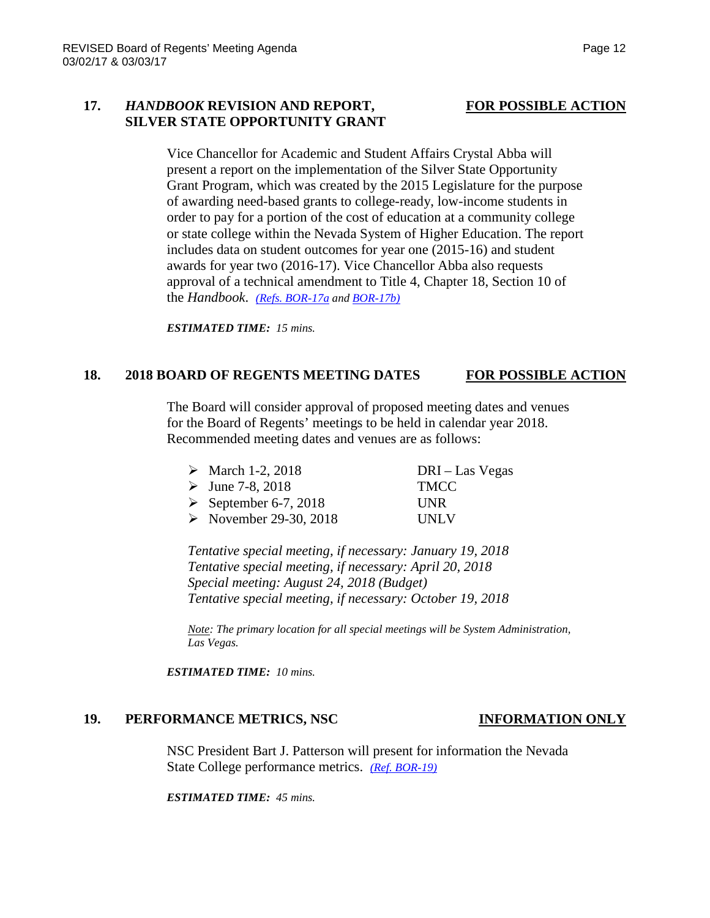## **17.** *HANDBOOK* **REVISION AND REPORT, FOR POSSIBLE ACTION SILVER STATE OPPORTUNITY GRANT**

Vice Chancellor for Academic and Student Affairs Crystal Abba will present a report on the implementation of the Silver State Opportunity Grant Program, which was created by the 2015 Legislature for the purpose of awarding need-based grants to college-ready, low-income students in order to pay for a portion of the cost of education at a community college or state college within the Nevada System of Higher Education. The report includes data on student outcomes for year one (2015-16) and student awards for year two (2016-17). Vice Chancellor Abba also requests approval of a technical amendment to Title 4, Chapter 18, Section 10 of the *Handbook*. *[\(Refs. BOR-17a](http://system.nevada.edu/tasks/sites/Nshe/assets/File/BoardOfRegents/Agendas/2017/mar-mtgs/bor-refs/BOR-17a.pdf) and [BOR-17b\)](http://system.nevada.edu/tasks/sites/Nshe/assets/File/BoardOfRegents/Agendas/2017/mar-mtgs/bor-refs/BOR-17b.pdf)*

*ESTIMATED TIME: 15 mins.*

### **18. 2018 BOARD OF REGENTS MEETING DATES FOR POSSIBLE ACTION**

The Board will consider approval of proposed meeting dates and venues for the Board of Regents' meetings to be held in calendar year 2018. Recommended meeting dates and venues are as follows:

| • March 1-2, 2018                     | DRI – Las Vegas |
|---------------------------------------|-----------------|
| $\triangleright$ June 7-8, 2018       | <b>TMCC</b>     |
| $\triangleright$ September 6-7, 2018  | UNR.            |
| $\triangleright$ November 29-30, 2018 | <b>UNLV</b>     |

*Tentative special meeting, if necessary: January 19, 2018 Tentative special meeting, if necessary: April 20, 2018 Special meeting: August 24, 2018 (Budget) Tentative special meeting, if necessary: October 19, 2018*

*Note: The primary location for all special meetings will be System Administration, Las Vegas.*

*ESTIMATED TIME: 10 mins.*

### **19. PERFORMANCE METRICS, NSC INFORMATION ONLY**

NSC President Bart J. Patterson will present for information the Nevada State College performance metrics. *[\(Ref. BOR-19\)](http://system.nevada.edu/tasks/sites/Nshe/assets/File/BoardOfRegents/Agendas/2017/mar-mtgs/bor-refs/BOR-19.pdf)*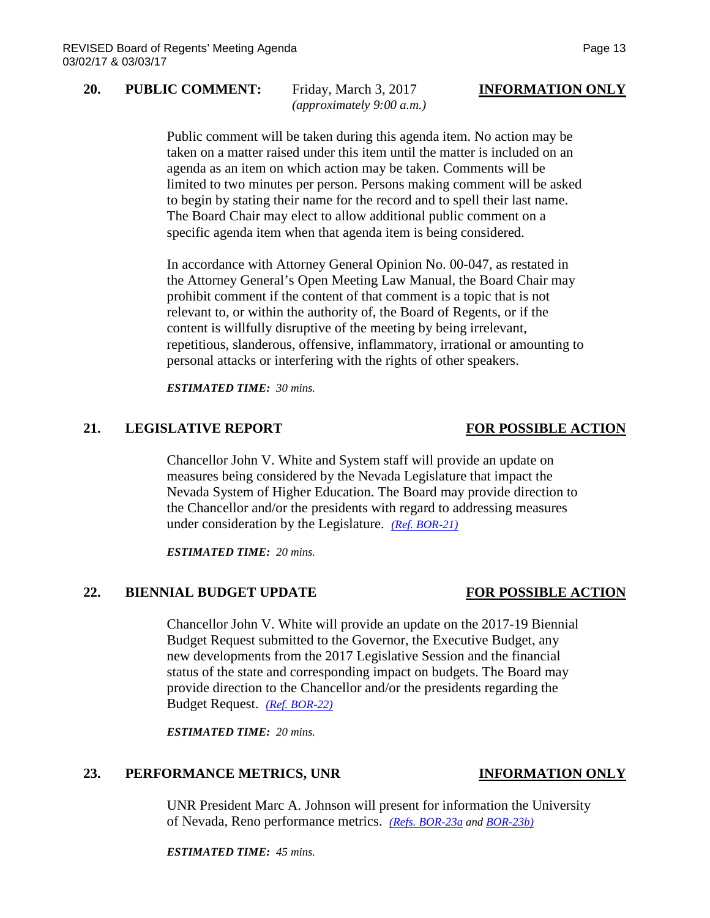### **20. PUBLIC COMMENT:** Friday, March 3, 2017 **INFORMATION ONLY**

*(approximately 9:00 a.m.)*

Public comment will be taken during this agenda item. No action may be taken on a matter raised under this item until the matter is included on an agenda as an item on which action may be taken. Comments will be limited to two minutes per person. Persons making comment will be asked to begin by stating their name for the record and to spell their last name. The Board Chair may elect to allow additional public comment on a specific agenda item when that agenda item is being considered.

In accordance with Attorney General Opinion No. 00-047, as restated in the Attorney General's Open Meeting Law Manual, the Board Chair may prohibit comment if the content of that comment is a topic that is not relevant to, or within the authority of, the Board of Regents, or if the content is willfully disruptive of the meeting by being irrelevant, repetitious, slanderous, offensive, inflammatory, irrational or amounting to personal attacks or interfering with the rights of other speakers.

*ESTIMATED TIME: 30 mins.*

### **21. LEGISLATIVE REPORT FOR POSSIBLE ACTION**

Chancellor John V. White and System staff will provide an update on measures being considered by the Nevada Legislature that impact the Nevada System of Higher Education. The Board may provide direction to the Chancellor and/or the presidents with regard to addressing measures under consideration by the Legislature. *[\(Ref. BOR-21\)](http://system.nevada.edu/tasks/sites/Nshe/assets/File/BoardOfRegents/Agendas/2017/mar-mtgs/bor-refs/BOR-21.pdf)*

*ESTIMATED TIME: 20 mins.*

### 22. BIENNIAL BUDGET UPDATE FOR POSSIBLE ACTION

Chancellor John V. White will provide an update on the 2017-19 Biennial Budget Request submitted to the Governor, the Executive Budget, any new developments from the 2017 Legislative Session and the financial status of the state and corresponding impact on budgets. The Board may provide direction to the Chancellor and/or the presidents regarding the Budget Request. *[\(Ref. BOR-22\)](http://system.nevada.edu/tasks/sites/Nshe/assets/File/BoardOfRegents/Agendas/2017/mar-mtgs/bor-refs/BOR-22.pdf)*

*ESTIMATED TIME: 20 mins.*

### **23. PERFORMANCE METRICS, UNR INFORMATION ONLY**

UNR President Marc A. Johnson will present for information the University of Nevada, Reno performance metrics. *[\(Refs. BOR-23a](http://system.nevada.edu/tasks/sites/Nshe/assets/File/BoardOfRegents/Agendas/2017/mar-mtgs/bor-refs/BOR-23a.pdf) and [BOR-23b\)](http://system.nevada.edu/tasks/sites/Nshe/assets/File/BoardOfRegents/Agendas/2017/mar-mtgs/bor-refs/BOR-23b.pdf)*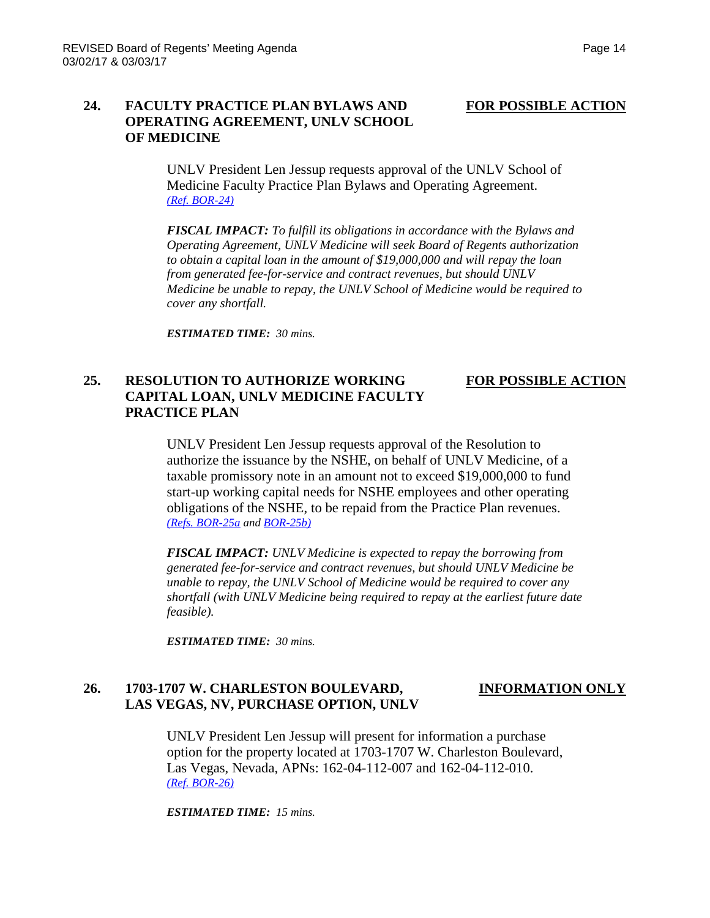### **24. FACULTY PRACTICE PLAN BYLAWS AND FOR POSSIBLE ACTION OPERATING AGREEMENT, UNLV SCHOOL OF MEDICINE**

UNLV President Len Jessup requests approval of the UNLV School of Medicine Faculty Practice Plan Bylaws and Operating Agreement. *[\(Ref. BOR-24\)](http://system.nevada.edu/tasks/sites/Nshe/assets/File/BoardOfRegents/Agendas/2017/mar-mtgs/bor-refs/BOR-24.pdf)*

*FISCAL IMPACT: To fulfill its obligations in accordance with the Bylaws and Operating Agreement, UNLV Medicine will seek Board of Regents authorization to obtain a capital loan in the amount of \$19,000,000 and will repay the loan from generated fee-for-service and contract revenues, but should UNLV Medicine be unable to repay, the UNLV School of Medicine would be required to cover any shortfall.*

*ESTIMATED TIME: 30 mins.*

### **25. RESOLUTION TO AUTHORIZE WORKING FOR POSSIBLE ACTION CAPITAL LOAN, UNLV MEDICINE FACULTY PRACTICE PLAN**

UNLV President Len Jessup requests approval of the Resolution to authorize the issuance by the NSHE, on behalf of UNLV Medicine, of a taxable promissory note in an amount not to exceed \$19,000,000 to fund start-up working capital needs for NSHE employees and other operating obligations of the NSHE, to be repaid from the Practice Plan revenues. *[\(Refs. BOR-25a](http://system.nevada.edu/tasks/sites/Nshe/assets/File/BoardOfRegents/Agendas/2017/mar-mtgs/bor-refs/BOR-25a.pdf) and [BOR-25b\)](http://system.nevada.edu/tasks/sites/Nshe/assets/File/BoardOfRegents/Agendas/2017/mar-mtgs/bor-refs/BOR-25b.pdf)*

*FISCAL IMPACT: UNLV Medicine is expected to repay the borrowing from generated fee-for-service and contract revenues, but should UNLV Medicine be unable to repay, the UNLV School of Medicine would be required to cover any shortfall (with UNLV Medicine being required to repay at the earliest future date feasible).*

*ESTIMATED TIME: 30 mins.*

## **26. 1703-1707 W. CHARLESTON BOULEVARD, INFORMATION ONLY LAS VEGAS, NV, PURCHASE OPTION, UNLV**

UNLV President Len Jessup will present for information a purchase option for the property located at 1703-1707 W. Charleston Boulevard, Las Vegas, Nevada, APNs: 162-04-112-007 and 162-04-112-010. *[\(Ref. BOR-26\)](http://system.nevada.edu/tasks/sites/Nshe/assets/File/BoardOfRegents/Agendas/2017/mar-mtgs/bor-refs/BOR-26.pdf)*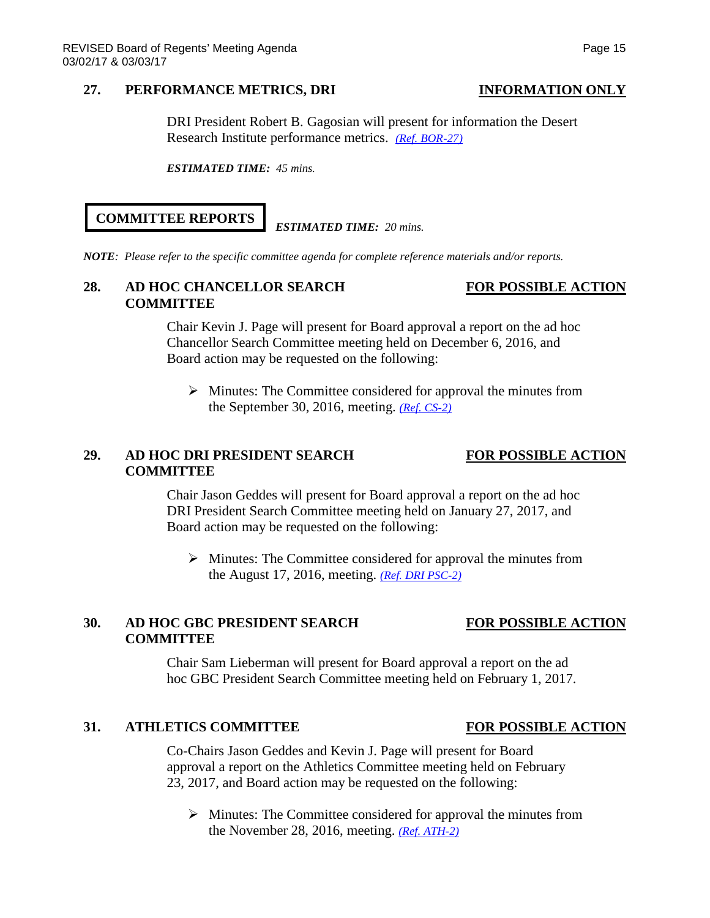### **27. PERFORMANCE METRICS, DRI INFORMATION ONLY**

### DRI President Robert B. Gagosian will present for information the Desert Research Institute performance metrics. *[\(Ref. BOR-27\)](http://system.nevada.edu/tasks/sites/Nshe/assets/File/BoardOfRegents/Agendas/2017/mar-mtgs/bor-refs/BOR-27.pdf)*

*ESTIMATED TIME: 45 mins.*

### **COMMITTEE REPORTS**

*NOTE: Please refer to the specific committee agenda for complete reference materials and/or reports.*

*ESTIMATED TIME: 20 mins.*

### 28. AD HOC CHANCELLOR SEARCH FOR POSSIBLE ACTION **COMMITTEE**

Chair Kevin J. Page will present for Board approval a report on the ad hoc Chancellor Search Committee meeting held on December 6, 2016, and Board action may be requested on the following:

 $\triangleright$  Minutes: The Committee considered for approval the minutes from the September 30, 2016, meeting. *[\(Ref. CS-2\)](http://system.nevada.edu/tasks/sites/Nshe/assets/File/BoardOfRegents/Agendas/2016/dec-mtgs/cs-refs/CS-2.pdf)*

### **29. AD HOC DRI PRESIDENT SEARCH FOR POSSIBLE ACTION COMMITTEE**

Chair Jason Geddes will present for Board approval a report on the ad hoc DRI President Search Committee meeting held on January 27, 2017, and Board action may be requested on the following:

 $\triangleright$  Minutes: The Committee considered for approval the minutes from the August 17, 2016, meeting. *[\(Ref. DRI PSC-2\)](http://system.nevada.edu/tasks/sites/Nshe/assets/File/BoardOfRegents/Agendas/2017/jan-mtgs/dri-psc/DRI%20PSC-2.pdf)*

### **30. AD HOC GBC PRESIDENT SEARCH FOR POSSIBLE ACTION COMMITTEE**

### Chair Sam Lieberman will present for Board approval a report on the ad hoc GBC President Search Committee meeting held on February 1, 2017.

### **31. ATHLETICS COMMITTEE FOR POSSIBLE ACTION**

Co-Chairs Jason Geddes and Kevin J. Page will present for Board approval a report on the Athletics Committee meeting held on February 23, 2017, and Board action may be requested on the following:

 $\triangleright$  Minutes: The Committee considered for approval the minutes from the November 28, 2016, meeting. *[\(Ref. ATH-2\)](http://system.nevada.edu/tasks/sites/Nshe/assets/File/BoardOfRegents/Agendas/2017/feb-mtgs/ath-refs/ATH-2.pdf)*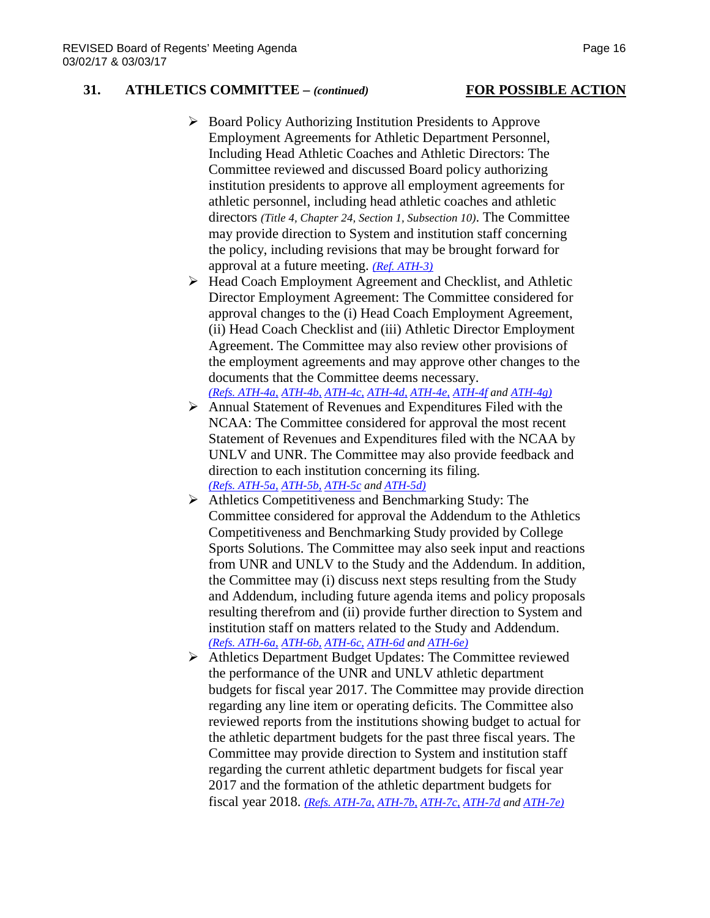### **31. ATHLETICS COMMITTEE –** *(continued)* **FOR POSSIBLE ACTION**

- Board Policy Authorizing Institution Presidents to Approve Employment Agreements for Athletic Department Personnel, Including Head Athletic Coaches and Athletic Directors: The Committee reviewed and discussed Board policy authorizing institution presidents to approve all employment agreements for athletic personnel, including head athletic coaches and athletic directors *(Title 4, Chapter 24, Section 1, Subsection 10)*. The Committee may provide direction to System and institution staff concerning the policy, including revisions that may be brought forward for approval at a future meeting. *[\(Ref. ATH-3\)](http://system.nevada.edu/tasks/sites/Nshe/assets/File/BoardOfRegents/Agendas/2017/feb-mtgs/ath-refs/ATH-3.pdf)*
- ▶ Head Coach Employment Agreement and Checklist, and Athletic Director Employment Agreement: The Committee considered for approval changes to the (i) Head Coach Employment Agreement, (ii) Head Coach Checklist and (iii) Athletic Director Employment Agreement. The Committee may also review other provisions of the employment agreements and may approve other changes to the documents that the Committee deems necessary.
	- *[\(Refs. ATH-4a,](http://system.nevada.edu/tasks/sites/Nshe/assets/File/BoardOfRegents/Agendas/2017/feb-mtgs/ath-refs/ATH-4a.pdf) [ATH-4b,](http://system.nevada.edu/tasks/sites/Nshe/assets/File/BoardOfRegents/Agendas/2017/feb-mtgs/ath-refs/ATH-4b.pdf) [ATH-4c,](http://system.nevada.edu/tasks/sites/Nshe/assets/File/BoardOfRegents/Agendas/2017/feb-mtgs/ath-refs/ATH-4c.pdf) [ATH-4d,](http://system.nevada.edu/tasks/sites/Nshe/assets/File/BoardOfRegents/Agendas/2017/feb-mtgs/ath-refs/ATH-4d.pdf) [ATH-4e,](http://system.nevada.edu/tasks/sites/Nshe/assets/File/BoardOfRegents/Agendas/2017/feb-mtgs/ath-refs/ATH-4e.pdf) [ATH-4f](http://system.nevada.edu/tasks/sites/Nshe/assets/File/BoardOfRegents/Agendas/2017/feb-mtgs/ath-refs/ATH-4f.pdf) an[d ATH-4g\)](http://system.nevada.edu/tasks/sites/Nshe/assets/File/BoardOfRegents/Agendas/2017/feb-mtgs/ath-refs/ATH-4g.pdf)*
- Annual Statement of Revenues and Expenditures Filed with the NCAA: The Committee considered for approval the most recent Statement of Revenues and Expenditures filed with the NCAA by UNLV and UNR. The Committee may also provide feedback and direction to each institution concerning its filing. *[\(Refs. ATH-5a,](http://system.nevada.edu/tasks/sites/Nshe/assets/File/BoardOfRegents/Agendas/2017/feb-mtgs/ath-refs/ATH-5a.pdf) [ATH-5b,](http://system.nevada.edu/tasks/sites/Nshe/assets/File/BoardOfRegents/Agendas/2017/feb-mtgs/ath-refs/ATH-5b.pdf) [ATH-5c](http://system.nevada.edu/tasks/sites/Nshe/assets/File/BoardOfRegents/Agendas/2017/feb-mtgs/ath-refs/ATH-5c.pdf) an[d ATH-5d\)](http://system.nevada.edu/tasks/sites/Nshe/assets/File/BoardOfRegents/Agendas/2017/feb-mtgs/ath-refs/ATH-5d.pdf)*
- $\triangleright$  Athletics Competitiveness and Benchmarking Study: The Committee considered for approval the Addendum to the Athletics Competitiveness and Benchmarking Study provided by College Sports Solutions. The Committee may also seek input and reactions from UNR and UNLV to the Study and the Addendum. In addition, the Committee may (i) discuss next steps resulting from the Study and Addendum, including future agenda items and policy proposals resulting therefrom and (ii) provide further direction to System and institution staff on matters related to the Study and Addendum. *[\(Refs. ATH-6a,](http://system.nevada.edu/tasks/sites/Nshe/assets/File/BoardOfRegents/Agendas/2017/feb-mtgs/ath-refs/ATH-6a.pdf) [ATH-6b,](http://system.nevada.edu/tasks/sites/Nshe/assets/File/BoardOfRegents/Agendas/2017/feb-mtgs/ath-refs/ATH-6b.pdf) [ATH-6c,](http://system.nevada.edu/tasks/sites/Nshe/assets/File/BoardOfRegents/Agendas/2017/feb-mtgs/ath-refs/ATH-6c.pdf) [ATH-6d](http://system.nevada.edu/tasks/sites/Nshe/assets/File/BoardOfRegents/Agendas/2017/feb-mtgs/ath-refs/ATH-6d.pdf) and [ATH-6e\)](http://system.nevada.edu/tasks/sites/Nshe/assets/File/BoardOfRegents/Agendas/2017/feb-mtgs/ath-refs/ATH-6e.pdf)*
- Athletics Department Budget Updates: The Committee reviewed the performance of the UNR and UNLV athletic department budgets for fiscal year 2017. The Committee may provide direction regarding any line item or operating deficits. The Committee also reviewed reports from the institutions showing budget to actual for the athletic department budgets for the past three fiscal years. The Committee may provide direction to System and institution staff regarding the current athletic department budgets for fiscal year 2017 and the formation of the athletic department budgets for fiscal year 2018. *[\(Refs. ATH-7a,](http://system.nevada.edu/tasks/sites/Nshe/assets/File/BoardOfRegents/Agendas/2017/feb-mtgs/ath-refs/ATH-7a.pdf) [ATH-7b,](http://system.nevada.edu/tasks/sites/Nshe/assets/File/BoardOfRegents/Agendas/2017/feb-mtgs/ath-refs/ATH-7b.pdf) [ATH-7c,](http://system.nevada.edu/tasks/sites/Nshe/assets/File/BoardOfRegents/Agendas/2017/feb-mtgs/ath-refs/ATH-7c.pdf) [ATH-7d](http://system.nevada.edu/tasks/sites/Nshe/assets/File/BoardOfRegents/Agendas/2017/feb-mtgs/ath-refs/ATH-7d.pdf) an[d ATH-7e\)](http://system.nevada.edu/tasks/sites/Nshe/assets/File/BoardOfRegents/Agendas/2017/feb-mtgs/ath-refs/ATH-7e.pdf)*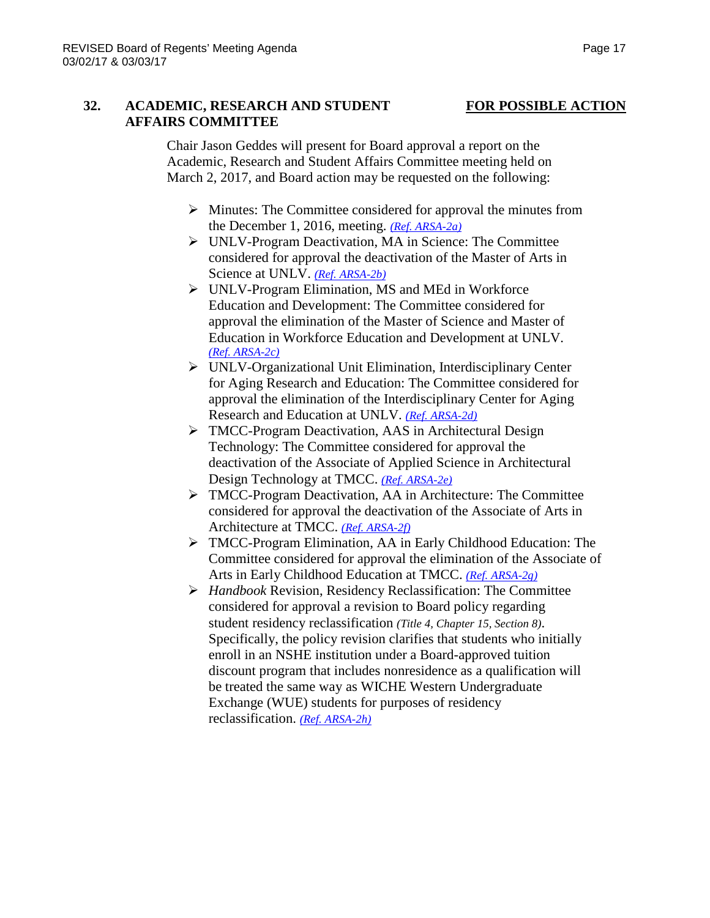## **32. ACADEMIC, RESEARCH AND STUDENT FOR POSSIBLE ACTION AFFAIRS COMMITTEE**

Chair Jason Geddes will present for Board approval a report on the Academic, Research and Student Affairs Committee meeting held on March 2, 2017, and Board action may be requested on the following:

- $\triangleright$  Minutes: The Committee considered for approval the minutes from the December 1, 2016, meeting. *[\(Ref. ARSA-2a\)](http://system.nevada.edu/tasks/sites/Nshe/assets/File/BoardOfRegents/Agendas/2017/mar-mtgs/arsa-refs/ARSA-2a.pdf)*
- UNLV-Program Deactivation, MA in Science: The Committee considered for approval the deactivation of the Master of Arts in Science at UNLV. *[\(Ref. ARSA-2b\)](http://system.nevada.edu/tasks/sites/Nshe/assets/File/BoardOfRegents/Agendas/2017/mar-mtgs/arsa-refs/ARSA-2b.pdf)*
- UNLV-Program Elimination, MS and MEd in Workforce Education and Development: The Committee considered for approval the elimination of the Master of Science and Master of Education in Workforce Education and Development at UNLV. *[\(Ref. ARSA-2c\)](http://system.nevada.edu/tasks/sites/Nshe/assets/File/BoardOfRegents/Agendas/2017/mar-mtgs/arsa-refs/ARSA-2c.pdf)*
- UNLV-Organizational Unit Elimination, Interdisciplinary Center for Aging Research and Education: The Committee considered for approval the elimination of the Interdisciplinary Center for Aging Research and Education at UNLV. *[\(Ref. ARSA-2d\)](http://system.nevada.edu/tasks/sites/Nshe/assets/File/BoardOfRegents/Agendas/2017/mar-mtgs/arsa-refs/ARSA-2d.pdf)*
- TMCC-Program Deactivation, AAS in Architectural Design Technology: The Committee considered for approval the deactivation of the Associate of Applied Science in Architectural Design Technology at TMCC. *[\(Ref. ARSA-2e\)](http://system.nevada.edu/tasks/sites/Nshe/assets/File/BoardOfRegents/Agendas/2017/mar-mtgs/arsa-refs/ARSA-2e.pdf)*
- TMCC-Program Deactivation, AA in Architecture: The Committee considered for approval the deactivation of the Associate of Arts in Architecture at TMCC. *[\(Ref. ARSA-2f\)](http://system.nevada.edu/tasks/sites/Nshe/assets/File/BoardOfRegents/Agendas/2017/mar-mtgs/arsa-refs/ARSA-2f.pdf)*
- TMCC-Program Elimination, AA in Early Childhood Education: The Committee considered for approval the elimination of the Associate of Arts in Early Childhood Education at TMCC. *[\(Ref. ARSA-2g\)](http://system.nevada.edu/tasks/sites/Nshe/assets/File/BoardOfRegents/Agendas/2017/mar-mtgs/arsa-refs/ARSA-2g.pdf)*
- *Handbook* Revision, Residency Reclassification: The Committee considered for approval a revision to Board policy regarding student residency reclassification *(Title 4, Chapter 15, Section 8)*. Specifically, the policy revision clarifies that students who initially enroll in an NSHE institution under a Board-approved tuition discount program that includes nonresidence as a qualification will be treated the same way as WICHE Western Undergraduate Exchange (WUE) students for purposes of residency reclassification. *[\(Ref. ARSA-2h\)](http://system.nevada.edu/tasks/sites/Nshe/assets/File/BoardOfRegents/Agendas/2017/mar-mtgs/arsa-refs/ARSA-2h.pdf)*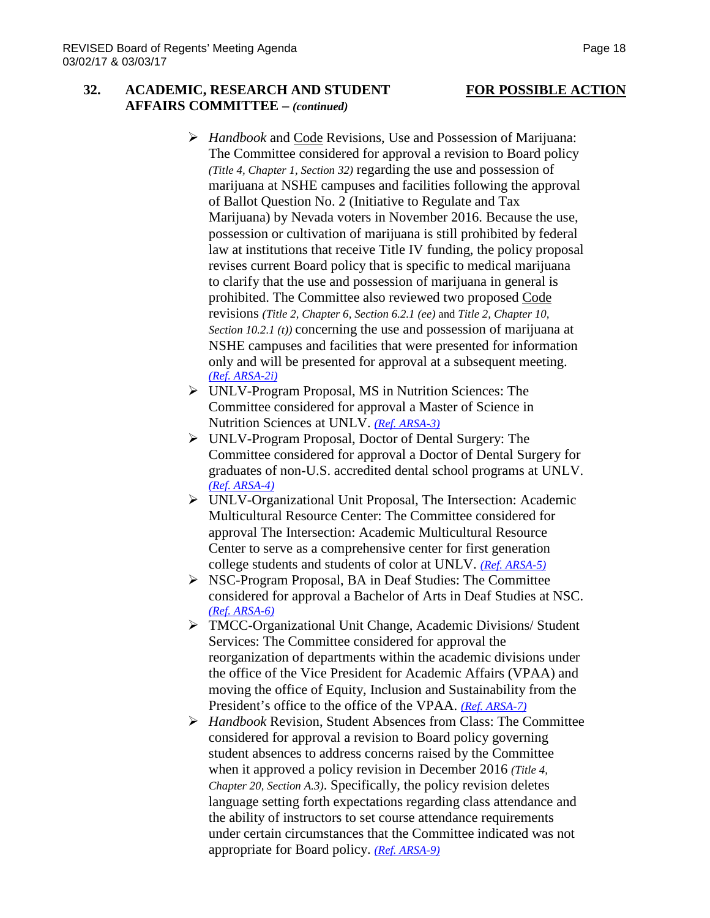### **32. ACADEMIC, RESEARCH AND STUDENT FOR POSSIBLE ACTION AFFAIRS COMMITTEE –** *(continued)*

- *Handbook* and Code Revisions, Use and Possession of Marijuana: The Committee considered for approval a revision to Board policy *(Title 4, Chapter 1, Section 32)* regarding the use and possession of marijuana at NSHE campuses and facilities following the approval of Ballot Question No. 2 (Initiative to Regulate and Tax Marijuana) by Nevada voters in November 2016. Because the use, possession or cultivation of marijuana is still prohibited by federal law at institutions that receive Title IV funding, the policy proposal revises current Board policy that is specific to medical marijuana to clarify that the use and possession of marijuana in general is prohibited. The Committee also reviewed two proposed Code revisions *(Title 2, Chapter 6, Section 6.2.1 (ee)* and *Title 2, Chapter 10, Section 10.2.1 (t)* concerning the use and possession of marijuana at NSHE campuses and facilities that were presented for information only and will be presented for approval at a subsequent meeting. *[\(Ref. ARSA-2i\)](http://system.nevada.edu/tasks/sites/Nshe/assets/File/BoardOfRegents/Agendas/2017/mar-mtgs/arsa-refs/ARSA-2i.pdf)*
- UNLV-Program Proposal, MS in Nutrition Sciences: The Committee considered for approval a Master of Science in Nutrition Sciences at UNLV. *[\(Ref. ARSA-3\)](http://system.nevada.edu/tasks/sites/Nshe/assets/File/BoardOfRegents/Agendas/2017/mar-mtgs/arsa-refs/ARSA-3.pdf)*
- UNLV-Program Proposal, Doctor of Dental Surgery: The Committee considered for approval a Doctor of Dental Surgery for graduates of non-U.S. accredited dental school programs at UNLV. *[\(Ref. ARSA-4\)](http://system.nevada.edu/tasks/sites/Nshe/assets/File/BoardOfRegents/Agendas/2017/mar-mtgs/arsa-refs/ARSA-4.pdf)*
- UNLV-Organizational Unit Proposal, The Intersection: Academic Multicultural Resource Center: The Committee considered for approval The Intersection: Academic Multicultural Resource Center to serve as a comprehensive center for first generation college students and students of color at UNLV. *[\(Ref. ARSA-5\)](http://system.nevada.edu/tasks/sites/Nshe/assets/File/BoardOfRegents/Agendas/2017/mar-mtgs/arsa-refs/ARSA-5.pdf)*
- NSC-Program Proposal, BA in Deaf Studies: The Committee considered for approval a Bachelor of Arts in Deaf Studies at NSC. *[\(Ref. ARSA-6\)](http://system.nevada.edu/tasks/sites/Nshe/assets/File/BoardOfRegents/Agendas/2017/mar-mtgs/arsa-refs/ARSA-6.pdf)*
- TMCC-Organizational Unit Change, Academic Divisions/ Student Services: The Committee considered for approval the reorganization of departments within the academic divisions under the office of the Vice President for Academic Affairs (VPAA) and moving the office of Equity, Inclusion and Sustainability from the President's office to the office of the VPAA. *[\(Ref. ARSA-7\)](http://system.nevada.edu/tasks/sites/Nshe/assets/File/BoardOfRegents/Agendas/2017/mar-mtgs/arsa-refs/ARSA-7.pdf)*
- *Handbook* Revision, Student Absences from Class: The Committee considered for approval a revision to Board policy governing student absences to address concerns raised by the Committee when it approved a policy revision in December 2016 *(Title 4, Chapter 20, Section A.3)*. Specifically, the policy revision deletes language setting forth expectations regarding class attendance and the ability of instructors to set course attendance requirements under certain circumstances that the Committee indicated was not appropriate for Board policy. *[\(Ref. ARSA-9\)](http://system.nevada.edu/tasks/sites/Nshe/assets/File/BoardOfRegents/Agendas/2017/mar-mtgs/arsa-refs/ARSA-9.pdf)*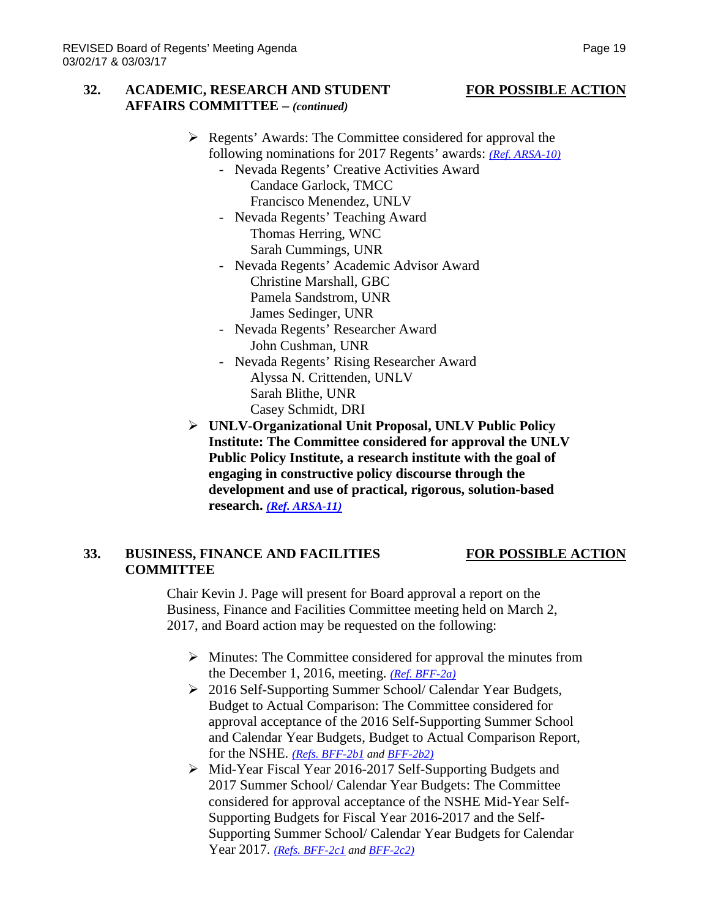### **32. ACADEMIC, RESEARCH AND STUDENT FOR POSSIBLE ACTION AFFAIRS COMMITTEE –** *(continued)*

- $\triangleright$  Regents' Awards: The Committee considered for approval the following nominations for 2017 Regents' awards: *[\(Ref. ARSA-10\)](http://system.nevada.edu/tasks/sites/Nshe/assets/File/BoardOfRegents/Agendas/2017/mar-mtgs/arsa-refs/ARSA-10.pdf)* - Nevada Regents' Creative Activities Award
	- Candace Garlock, TMCC Francisco Menendez, UNLV
	- Nevada Regents' Teaching Award Thomas Herring, WNC Sarah Cummings, UNR
	- Nevada Regents' Academic Advisor Award Christine Marshall, GBC Pamela Sandstrom, UNR James Sedinger, UNR
	- Nevada Regents' Researcher Award John Cushman, UNR
	- Nevada Regents' Rising Researcher Award Alyssa N. Crittenden, UNLV Sarah Blithe, UNR Casey Schmidt, DRI
- **UNLV-Organizational Unit Proposal, UNLV Public Policy Institute: The Committee considered for approval the UNLV Public Policy Institute, a research institute with the goal of engaging in constructive policy discourse through the development and use of practical, rigorous, solution-based research.** *(Ref. [ARSA-11\)](http://system.nevada.edu/tasks/sites/Nshe/assets/File/BoardOfRegents/Agendas/2017/mar-mtgs/arsa-refs/ARSA-11.pdf)*

### **33. BUSINESS, FINANCE AND FACILITIES FOR POSSIBLE ACTION COMMITTEE**

Chair Kevin J. Page will present for Board approval a report on the Business, Finance and Facilities Committee meeting held on March 2, 2017, and Board action may be requested on the following:

- $\triangleright$  Minutes: The Committee considered for approval the minutes from the December 1, 2016, meeting. *[\(Ref. BFF-2a\)](http://system.nevada.edu/tasks/sites/Nshe/assets/File/BoardOfRegents/Agendas/2017/mar-mtgs/bff-refs/BFF-2a.pdf)*
- 2016 Self-Supporting Summer School/ Calendar Year Budgets, Budget to Actual Comparison: The Committee considered for approval acceptance of the 2016 Self-Supporting Summer School and Calendar Year Budgets, Budget to Actual Comparison Report, for the NSHE. *[\(Refs. BFF-2b1](http://system.nevada.edu/tasks/sites/Nshe/assets/File/BoardOfRegents/Agendas/2017/mar-mtgs/bff-refs/BFF-2b(1)%20.pdf) and [BFF-2b2\)](http://system.nevada.edu/tasks/sites/Nshe/assets/File/BoardOfRegents/Agendas/2017/mar-mtgs/bff-refs/BFF-2b(2)%20.pdf)*
- Mid-Year Fiscal Year 2016-2017 Self-Supporting Budgets and 2017 Summer School/ Calendar Year Budgets: The Committee considered for approval acceptance of the NSHE Mid-Year Self-Supporting Budgets for Fiscal Year 2016-2017 and the Self-Supporting Summer School/ Calendar Year Budgets for Calendar Year 2017. *[\(Refs. BFF-2c1](http://system.nevada.edu/tasks/sites/Nshe/assets/File/BoardOfRegents/Agendas/2017/mar-mtgs/bff-refs/BFF-2c(1).pdf) and [BFF-2c2\)](http://system.nevada.edu/tasks/sites/Nshe/assets/File/BoardOfRegents/Agendas/2017/mar-mtgs/bff-refs/BFF-2c(2).pdf)*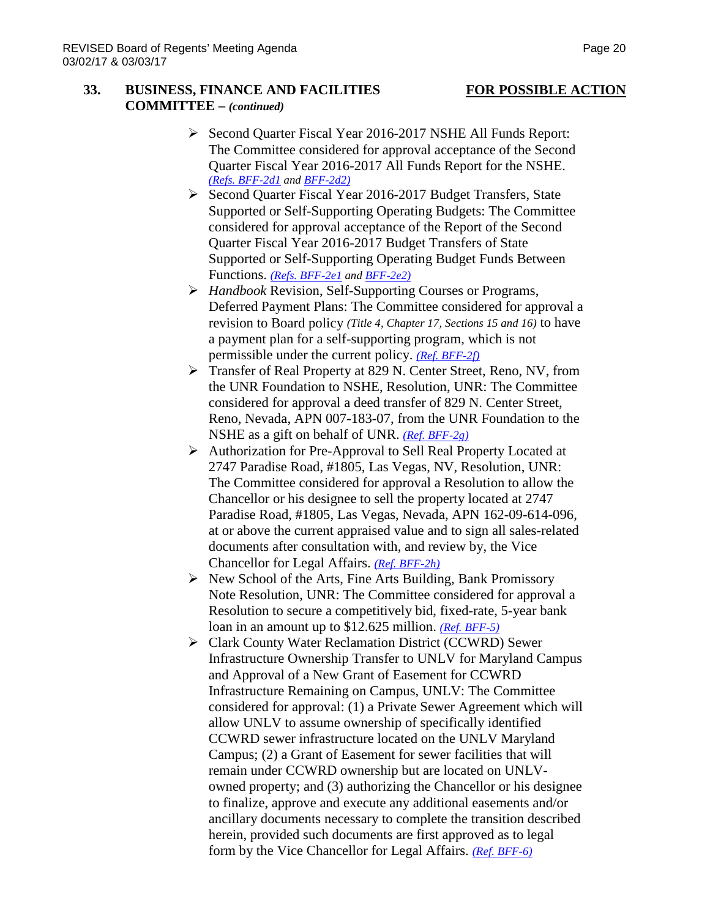### **33. BUSINESS, FINANCE AND FACILITIES FOR POSSIBLE ACTION COMMITTEE –** *(continued)*

- Second Quarter Fiscal Year 2016-2017 NSHE All Funds Report: The Committee considered for approval acceptance of the Second Quarter Fiscal Year 2016-2017 All Funds Report for the NSHE. *[\(Refs. BFF-2d1](http://system.nevada.edu/tasks/sites/Nshe/assets/File/BoardOfRegents/Agendas/2017/mar-mtgs/bff-refs/BFF-2d(1).pdf) and [BFF-2d2\)](http://system.nevada.edu/tasks/sites/Nshe/assets/File/BoardOfRegents/Agendas/2017/mar-mtgs/bff-refs/BFF-2d(2).pdf)*
- Second Quarter Fiscal Year 2016-2017 Budget Transfers, State Supported or Self-Supporting Operating Budgets: The Committee considered for approval acceptance of the Report of the Second Quarter Fiscal Year 2016-2017 Budget Transfers of State Supported or Self-Supporting Operating Budget Funds Between Functions. *[\(Refs. BFF-2e1](http://system.nevada.edu/tasks/sites/Nshe/assets/File/BoardOfRegents/Agendas/2017/mar-mtgs/bff-refs/BFF-2e(1).pdf) and [BFF-2e2\)](http://system.nevada.edu/tasks/sites/Nshe/assets/File/BoardOfRegents/Agendas/2017/mar-mtgs/bff-refs/BFF-2e(2).pdf)*
- *Handbook* Revision, Self-Supporting Courses or Programs, Deferred Payment Plans: The Committee considered for approval a revision to Board policy *(Title 4, Chapter 17, Sections 15 and 16)* to have a payment plan for a self-supporting program, which is not permissible under the current policy. *[\(Ref. BFF-2f\)](http://system.nevada.edu/tasks/sites/Nshe/assets/File/BoardOfRegents/Agendas/2017/mar-mtgs/bff-refs/BFF-2f.pdf)*
- Transfer of Real Property at 829 N. Center Street, Reno, NV, from the UNR Foundation to NSHE, Resolution, UNR: The Committee considered for approval a deed transfer of 829 N. Center Street, Reno, Nevada, APN 007-183-07, from the UNR Foundation to the NSHE as a gift on behalf of UNR. *[\(Ref. BFF-2g\)](http://system.nevada.edu/tasks/sites/Nshe/assets/File/BoardOfRegents/Agendas/2017/mar-mtgs/bff-refs/BFF-2g.pdf)*
- Authorization for Pre-Approval to Sell Real Property Located at 2747 Paradise Road, #1805, Las Vegas, NV, Resolution, UNR: The Committee considered for approval a Resolution to allow the Chancellor or his designee to sell the property located at 2747 Paradise Road, #1805, Las Vegas, Nevada, APN 162-09-614-096, at or above the current appraised value and to sign all sales-related documents after consultation with, and review by, the Vice Chancellor for Legal Affairs. *[\(Ref. BFF-2h\)](http://system.nevada.edu/tasks/sites/Nshe/assets/File/BoardOfRegents/Agendas/2017/mar-mtgs/bff-refs/BFF-2h.pdf)*
- $\triangleright$  New School of the Arts, Fine Arts Building, Bank Promissory Note Resolution, UNR: The Committee considered for approval a Resolution to secure a competitively bid, fixed-rate, 5-year bank loan in an amount up to \$12.625 million. *[\(Ref. BFF-5\)](http://system.nevada.edu/tasks/sites/Nshe/assets/File/BoardOfRegents/Agendas/2017/mar-mtgs/bff-refs/BFF-5.pdf)*
- Clark County Water Reclamation District (CCWRD) Sewer Infrastructure Ownership Transfer to UNLV for Maryland Campus and Approval of a New Grant of Easement for CCWRD Infrastructure Remaining on Campus, UNLV: The Committee considered for approval: (1) a Private Sewer Agreement which will allow UNLV to assume ownership of specifically identified CCWRD sewer infrastructure located on the UNLV Maryland Campus; (2) a Grant of Easement for sewer facilities that will remain under CCWRD ownership but are located on UNLVowned property; and (3) authorizing the Chancellor or his designee to finalize, approve and execute any additional easements and/or ancillary documents necessary to complete the transition described herein, provided such documents are first approved as to legal form by the Vice Chancellor for Legal Affairs. *[\(Ref. BFF-6\)](http://system.nevada.edu/tasks/sites/Nshe/assets/File/BoardOfRegents/Agendas/2017/mar-mtgs/bff-refs/BFF-6.pdf)*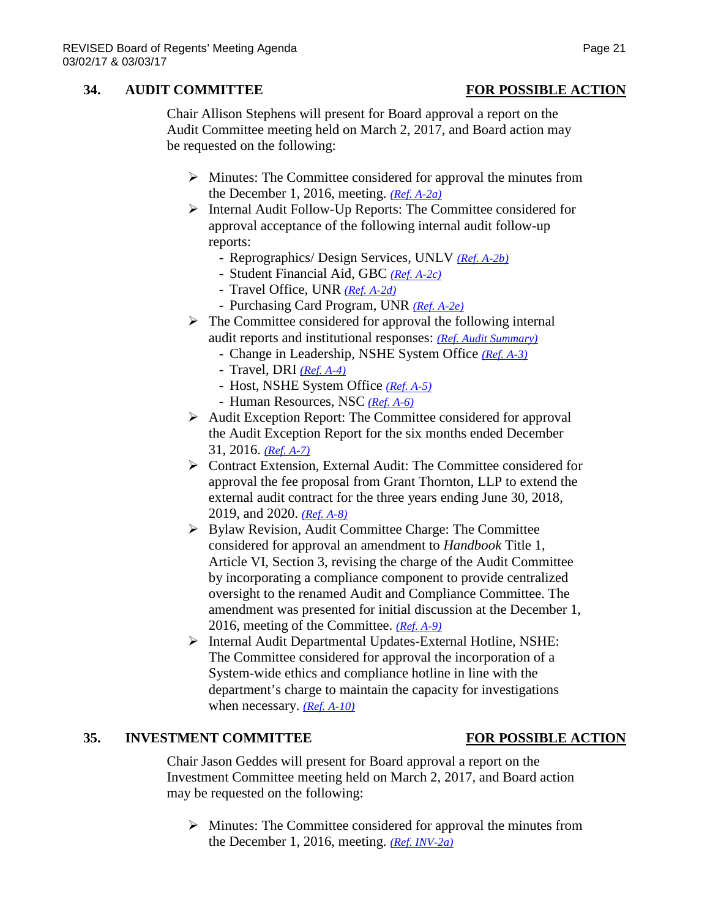### **34. AUDIT COMMITTEE FOR POSSIBLE ACTION**

Chair Allison Stephens will present for Board approval a report on the Audit Committee meeting held on March 2, 2017, and Board action may be requested on the following:

- $\triangleright$  Minutes: The Committee considered for approval the minutes from the December 1, 2016, meeting. *[\(Ref. A-2a\)](http://system.nevada.edu/tasks/sites/Nshe/assets/File/BoardOfRegents/Agendas/2017/mar-mtgs/audit-refs/A-2a.pdf)*
- $\triangleright$  Internal Audit Follow-Up Reports: The Committee considered for approval acceptance of the following internal audit follow-up reports:
	- Reprographics/ Design Services, UNLV *[\(Ref. A-2b\)](http://system.nevada.edu/tasks/sites/Nshe/assets/File/BoardOfRegents/Agendas/2017/mar-mtgs/audit-refs/A-2b.pdf)*
	- Student Financial Aid, GBC *[\(Ref. A-2c\)](http://system.nevada.edu/tasks/sites/Nshe/assets/File/BoardOfRegents/Agendas/2017/mar-mtgs/audit-refs/A-2c.pdf)*
	- Travel Office, UNR *[\(Ref. A-2d\)](http://system.nevada.edu/tasks/sites/Nshe/assets/File/BoardOfRegents/Agendas/2017/mar-mtgs/audit-refs/A-2d.pdf)*
	- Purchasing Card Program, UNR *[\(Ref. A-2e\)](http://system.nevada.edu/tasks/sites/Nshe/assets/File/BoardOfRegents/Agendas/2017/mar-mtgs/audit-refs/A-2e.pdf)*
- $\triangleright$  The Committee considered for approval the following internal audit reports and institutional responses: *[\(Ref. Audit Summary\)](http://system.nevada.edu/tasks/sites/Nshe/assets/File/BoardOfRegents/Agendas/2017/mar-mtgs/audit-refs/Audit%20Summary.pdf)*
	- Change in Leadership, NSHE System Office *[\(Ref. A-3\)](http://system.nevada.edu/tasks/sites/Nshe/assets/File/BoardOfRegents/Agendas/2017/mar-mtgs/audit-refs/A-3.pdf)*
	- Travel, DRI *[\(Ref. A-4\)](http://system.nevada.edu/tasks/sites/Nshe/assets/File/BoardOfRegents/Agendas/2017/mar-mtgs/audit-refs/A-4.pdf)*
	- Host, NSHE System Office *[\(Ref. A-5\)](http://system.nevada.edu/tasks/sites/Nshe/assets/File/BoardOfRegents/Agendas/2017/mar-mtgs/audit-refs/A-5.pdf)*
	- Human Resources, NSC *[\(Ref. A-6\)](http://system.nevada.edu/tasks/sites/Nshe/assets/File/BoardOfRegents/Agendas/2017/mar-mtgs/audit-refs/A-6.pdf)*
- $\triangleright$  Audit Exception Report: The Committee considered for approval the Audit Exception Report for the six months ended December 31, 2016. *[\(Ref. A-7\)](http://system.nevada.edu/tasks/sites/Nshe/assets/File/BoardOfRegents/Agendas/2017/mar-mtgs/audit-refs/A-7.pdf)*
- Contract Extension, External Audit: The Committee considered for approval the fee proposal from Grant Thornton, LLP to extend the external audit contract for the three years ending June 30, 2018, 2019, and 2020. *[\(Ref. A-8\)](http://system.nevada.edu/tasks/sites/Nshe/assets/File/BoardOfRegents/Agendas/2017/mar-mtgs/audit-refs/A-8.pdf)*
- Bylaw Revision, Audit Committee Charge: The Committee considered for approval an amendment to *Handbook* Title 1, Article VI, Section 3, revising the charge of the Audit Committee by incorporating a compliance component to provide centralized oversight to the renamed Audit and Compliance Committee. The amendment was presented for initial discussion at the December 1, 2016, meeting of the Committee. *[\(Ref. A-9\)](http://system.nevada.edu/tasks/sites/Nshe/assets/File/BoardOfRegents/Agendas/2017/mar-mtgs/audit-refs/A-9.pdf)*
- Internal Audit Departmental Updates-External Hotline, NSHE: The Committee considered for approval the incorporation of a System-wide ethics and compliance hotline in line with the department's charge to maintain the capacity for investigations when necessary. *[\(Ref. A-10\)](http://system.nevada.edu/tasks/sites/Nshe/assets/File/BoardOfRegents/Agendas/2017/mar-mtgs/audit-refs/A-10.pdf)*

### **35. INVESTMENT COMMITTEE FOR POSSIBLE ACTION**

### Chair Jason Geddes will present for Board approval a report on the Investment Committee meeting held on March 2, 2017, and Board action may be requested on the following:

 $\triangleright$  Minutes: The Committee considered for approval the minutes from the December 1, 2016, meeting. *[\(Ref. INV-2a\)](http://system.nevada.edu/tasks/sites/Nshe/assets/File/BoardOfRegents/Agendas/2017/mar-mtgs/inv-refs/INV-2a.pdf)*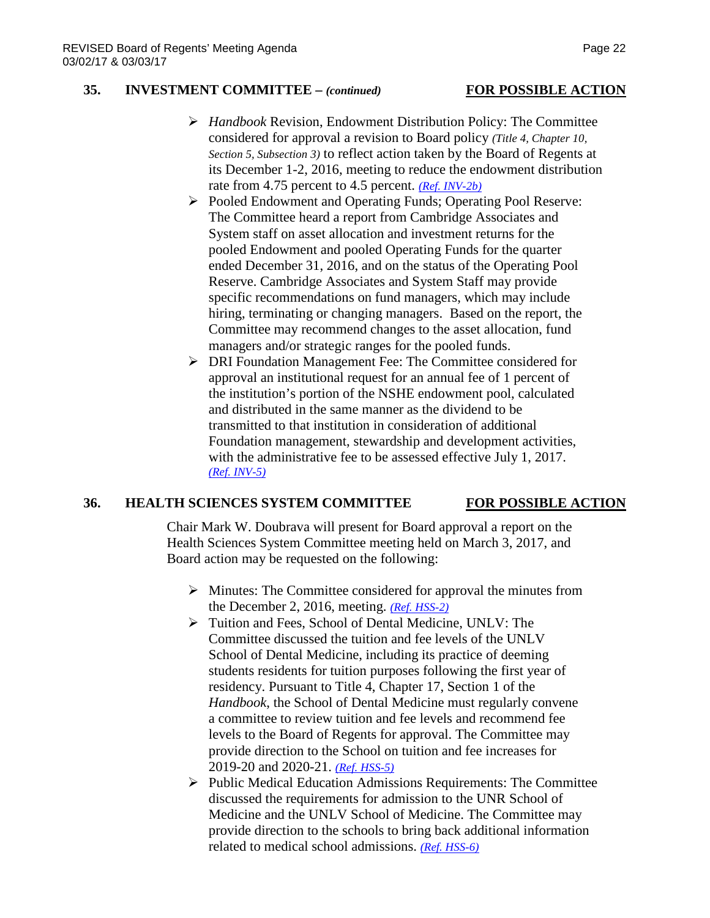### **35. INVESTMENT COMMITTEE –** *(continued)* **FOR POSSIBLE ACTION**

- 
- *Handbook* Revision, Endowment Distribution Policy: The Committee considered for approval a revision to Board policy *(Title 4, Chapter 10, Section 5, Subsection 3)* to reflect action taken by the Board of Regents at its December 1-2, 2016, meeting to reduce the endowment distribution rate from 4.75 percent to 4.5 percent. *[\(Ref. INV-2b\)](http://system.nevada.edu/tasks/sites/Nshe/assets/File/BoardOfRegents/Agendas/2017/mar-mtgs/inv-refs/INV-2b.pdf)*
- Pooled Endowment and Operating Funds; Operating Pool Reserve: The Committee heard a report from Cambridge Associates and System staff on asset allocation and investment returns for the pooled Endowment and pooled Operating Funds for the quarter ended December 31, 2016, and on the status of the Operating Pool Reserve. Cambridge Associates and System Staff may provide specific recommendations on fund managers, which may include hiring, terminating or changing managers. Based on the report, the Committee may recommend changes to the asset allocation, fund managers and/or strategic ranges for the pooled funds.
- DRI Foundation Management Fee: The Committee considered for approval an institutional request for an annual fee of 1 percent of the institution's portion of the NSHE endowment pool, calculated and distributed in the same manner as the dividend to be transmitted to that institution in consideration of additional Foundation management, stewardship and development activities, with the administrative fee to be assessed effective July 1, 2017. *[\(Ref. INV-5\)](http://system.nevada.edu/tasks/sites/Nshe/assets/File/BoardOfRegents/Agendas/2017/mar-mtgs/inv-refs/INV-5.pdf)*

## **36. HEALTH SCIENCES SYSTEM COMMITTEE FOR POSSIBLE ACTION**

Chair Mark W. Doubrava will present for Board approval a report on the Health Sciences System Committee meeting held on March 3, 2017, and Board action may be requested on the following:

- $\triangleright$  Minutes: The Committee considered for approval the minutes from the December 2, 2016, meeting. *[\(Ref. HSS-2\)](http://system.nevada.edu/tasks/sites/Nshe/assets/File/BoardOfRegents/Agendas/2017/mar-mtgs/hss-refs/HSS-2.pdf)*
- $\triangleright$  Tuition and Fees, School of Dental Medicine, UNLV: The Committee discussed the tuition and fee levels of the UNLV School of Dental Medicine, including its practice of deeming students residents for tuition purposes following the first year of residency. Pursuant to Title 4, Chapter 17, Section 1 of the *Handbook*, the School of Dental Medicine must regularly convene a committee to review tuition and fee levels and recommend fee levels to the Board of Regents for approval. The Committee may provide direction to the School on tuition and fee increases for 2019-20 and 2020-21. *[\(Ref. HSS-5\)](http://system.nevada.edu/tasks/sites/Nshe/assets/File/BoardOfRegents/Agendas/2017/mar-mtgs/hss-refs/HSS-5.pdf)*
- $\triangleright$  Public Medical Education Admissions Requirements: The Committee discussed the requirements for admission to the UNR School of Medicine and the UNLV School of Medicine. The Committee may provide direction to the schools to bring back additional information related to medical school admissions. *[\(Ref. HSS-6\)](http://system.nevada.edu/tasks/sites/Nshe/assets/File/BoardOfRegents/Agendas/2017/mar-mtgs/hss-refs/HSS-6.pdf)*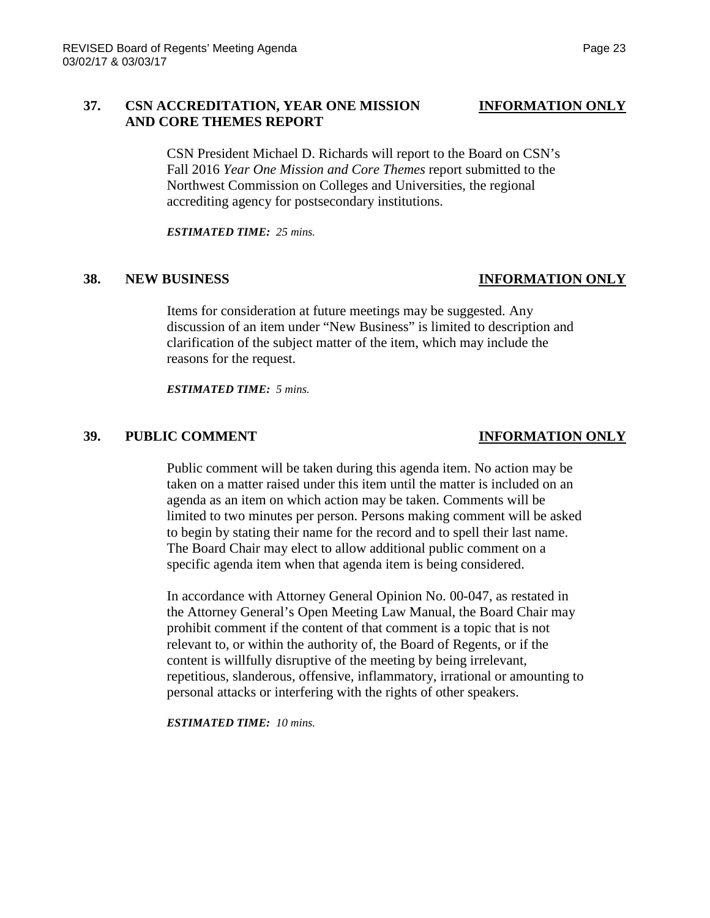### **37. CSN ACCREDITATION, YEAR ONE MISSION INFORMATION ONLY AND CORE THEMES REPORT**

CSN President Michael D. Richards will report to the Board on CSN's Fall 2016 *Year One Mission and Core Themes* report submitted to the Northwest Commission on Colleges and Universities, the regional accrediting agency for postsecondary institutions.

*ESTIMATED TIME: 25 mins.*

### **38. NEW BUSINESS INFORMATION ONLY**

Items for consideration at future meetings may be suggested. Any discussion of an item under "New Business" is limited to description and clarification of the subject matter of the item, which may include the reasons for the request.

*ESTIMATED TIME: 5 mins.*

### **39. PUBLIC COMMENT INFORMATION ONLY**

Public comment will be taken during this agenda item. No action may be taken on a matter raised under this item until the matter is included on an agenda as an item on which action may be taken. Comments will be limited to two minutes per person. Persons making comment will be asked to begin by stating their name for the record and to spell their last name. The Board Chair may elect to allow additional public comment on a specific agenda item when that agenda item is being considered.

In accordance with Attorney General Opinion No. 00-047, as restated in the Attorney General's Open Meeting Law Manual, the Board Chair may prohibit comment if the content of that comment is a topic that is not relevant to, or within the authority of, the Board of Regents, or if the content is willfully disruptive of the meeting by being irrelevant, repetitious, slanderous, offensive, inflammatory, irrational or amounting to personal attacks or interfering with the rights of other speakers.